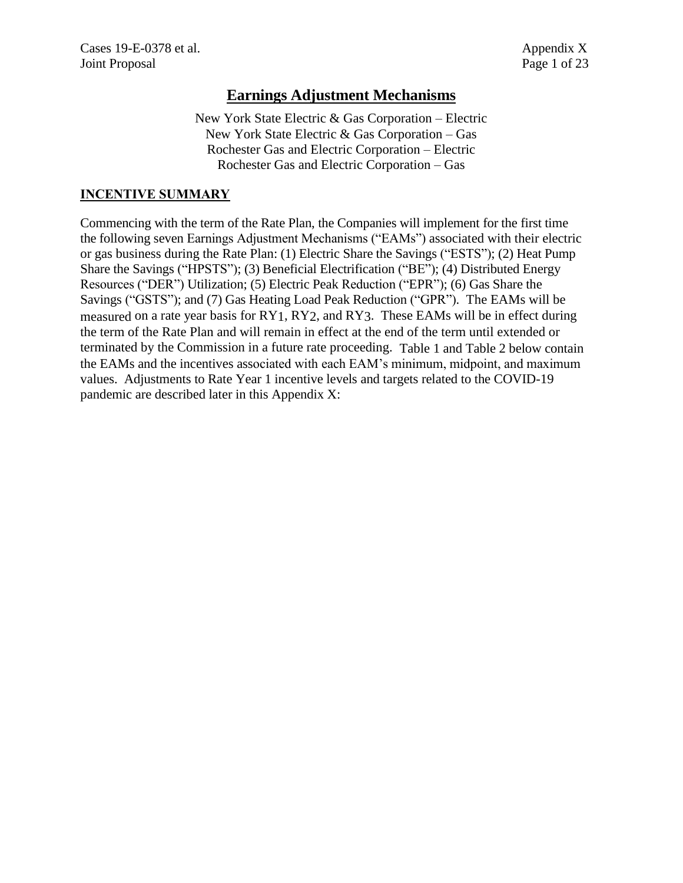# **Earnings Adjustment Mechanisms**

New York State Electric & Gas Corporation – Electric New York State Electric & Gas Corporation – Gas Rochester Gas and Electric Corporation – Electric Rochester Gas and Electric Corporation – Gas

# **INCENTIVE SUMMARY**

Commencing with the term of the Rate Plan, the Companies will implement for the first time the following seven Earnings Adjustment Mechanisms ("EAMs") associated with their electric or gas business during the Rate Plan: (1) Electric Share the Savings ("ESTS"); (2) Heat Pump Share the Savings ("HPSTS"); (3) Beneficial Electrification ("BE"); (4) Distributed Energy Resources ("DER") Utilization; (5) Electric Peak Reduction ("EPR"); (6) Gas Share the Savings ("GSTS"); and (7) Gas Heating Load Peak Reduction ("GPR"). The EAMs will be measured on a rate year basis for RY1, RY2, and RY3. These EAMs will be in effect during the term of the Rate Plan and will remain in effect at the end of the term until extended or terminated by the Commission in a future rate proceeding. Table 1 and Table 2 below contain the EAMs and the incentives associated with each EAM's minimum, midpoint, and maximum values. Adjustments to Rate Year 1 incentive levels and targets related to the COVID-19 pandemic are described later in this Appendix X: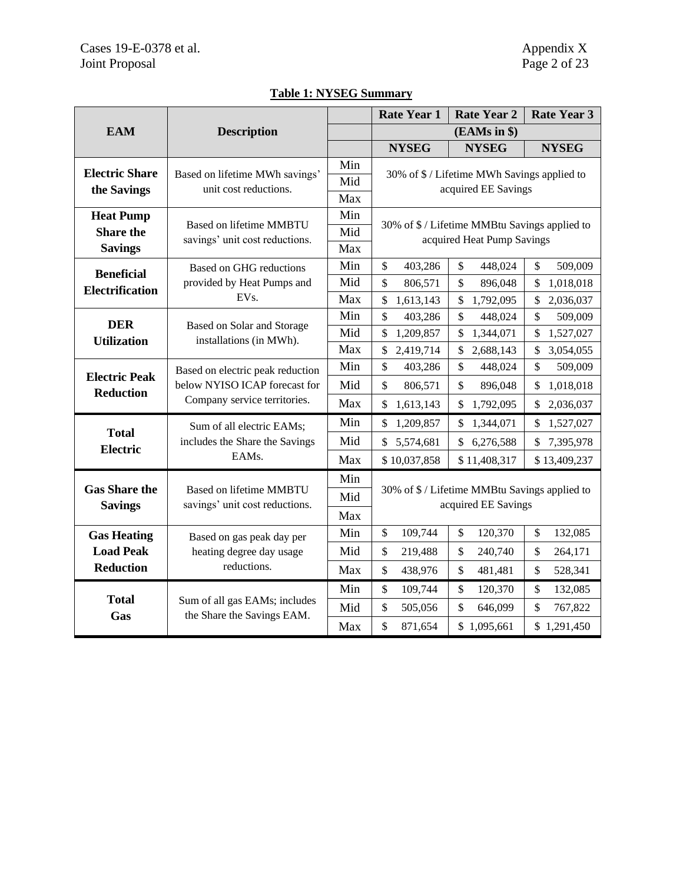|                        |                                                                                                   |            | <b>Rate Year 1</b>                                                   | <b>Rate Year 2</b>                            | <b>Rate Year 3</b>         |  |
|------------------------|---------------------------------------------------------------------------------------------------|------------|----------------------------------------------------------------------|-----------------------------------------------|----------------------------|--|
| <b>EAM</b>             | <b>Description</b>                                                                                |            |                                                                      | (EAMs in \$)                                  |                            |  |
|                        |                                                                                                   |            | <b>NYSEG</b>                                                         | <b>NYSEG</b>                                  | <b>NYSEG</b>               |  |
| <b>Electric Share</b>  | Based on lifetime MWh savings'                                                                    | Min        | 30% of \$ / Lifetime MWh Savings applied to                          |                                               |                            |  |
| the Savings            | unit cost reductions.                                                                             | Mid        | acquired EE Savings                                                  |                                               |                            |  |
|                        |                                                                                                   | Max        |                                                                      |                                               |                            |  |
| <b>Heat Pump</b>       | <b>Based on lifetime MMBTU</b>                                                                    | Min        |                                                                      | 30% of \$ / Lifetime MMBtu Savings applied to |                            |  |
| <b>Share the</b>       | savings' unit cost reductions.                                                                    | Mid        |                                                                      | acquired Heat Pump Savings                    |                            |  |
| <b>Savings</b>         |                                                                                                   | Max        |                                                                      |                                               |                            |  |
| <b>Beneficial</b>      | Based on GHG reductions                                                                           | Min        | \$<br>403,286                                                        | \$<br>448,024                                 | \$<br>509,009              |  |
| <b>Electrification</b> | provided by Heat Pumps and<br>EVs.                                                                | Mid        | \$<br>806,571                                                        | \$<br>896,048                                 | 1,018,018<br>\$            |  |
|                        |                                                                                                   | Max        | \$<br>1,613,143                                                      | \$<br>1,792,095                               | 2,036,037<br>\$            |  |
| <b>DER</b>             | Based on Solar and Storage                                                                        | Min<br>Mid | \$<br>403,286                                                        | $\mathcal{S}$<br>448,024                      | \$<br>509,009              |  |
| <b>Utilization</b>     | installations (in MWh).                                                                           | Max        | \$<br>1,209,857<br>\$                                                | \$<br>1,344,071<br>\$                         | \$<br>1,527,027<br>\$      |  |
|                        |                                                                                                   | Min        | 2,419,714<br>\$<br>403,286                                           | 2,688,143<br>\$<br>448,024                    | 3,054,055<br>\$<br>509,009 |  |
| <b>Electric Peak</b>   | Based on electric peak reduction<br>below NYISO ICAP forecast for<br>Company service territories. | Mid        |                                                                      |                                               |                            |  |
| <b>Reduction</b>       |                                                                                                   |            | \$<br>806,571                                                        | \$<br>896,048                                 | \$<br>1,018,018            |  |
|                        |                                                                                                   | Max        | \$<br>1,613,143                                                      | \$<br>1,792,095                               | 2,036,037<br>\$            |  |
| <b>Total</b>           | Sum of all electric EAMs;                                                                         | Min        | \$<br>1,209,857                                                      | \$<br>1,344,071                               | 1,527,027<br>S             |  |
| <b>Electric</b>        | includes the Share the Savings                                                                    | Mid        | \$<br>5,574,681                                                      | \$<br>6,276,588                               | 7,395,978<br>\$            |  |
|                        | EAMs.                                                                                             | Max        | \$10,037,858                                                         | \$11,408,317                                  | \$13,409,237               |  |
| <b>Gas Share the</b>   |                                                                                                   | Min        | 30% of \$ / Lifetime MMBtu Savings applied to<br>acquired EE Savings |                                               |                            |  |
| <b>Savings</b>         | <b>Based on lifetime MMBTU</b><br>savings' unit cost reductions.                                  | Mid        |                                                                      |                                               |                            |  |
|                        |                                                                                                   | Max        |                                                                      |                                               |                            |  |
| <b>Gas Heating</b>     | Based on gas peak day per                                                                         | Min        | $\mathcal{S}$<br>109,744                                             | \$<br>120,370                                 | \$<br>132,085              |  |
| <b>Load Peak</b>       | heating degree day usage                                                                          | Mid        | \$<br>219,488                                                        | \$<br>240,740                                 | $\mathcal{S}$<br>264,171   |  |
| <b>Reduction</b>       | reductions.                                                                                       | Max        | \$<br>438,976                                                        | \$<br>481,481                                 | \$<br>528,341              |  |
|                        |                                                                                                   | Min        | \$<br>109,744                                                        | \$<br>120,370                                 | \$<br>132,085              |  |
| <b>Total</b>           | Sum of all gas EAMs; includes                                                                     | Mid        | \$<br>505,056                                                        | \$<br>646,099                                 | \$<br>767,822              |  |
| Gas                    | the Share the Savings EAM.                                                                        | Max        | \$<br>871,654                                                        | \$1,095,661                                   | \$1,291,450                |  |

# **Table 1: NYSEG Summary**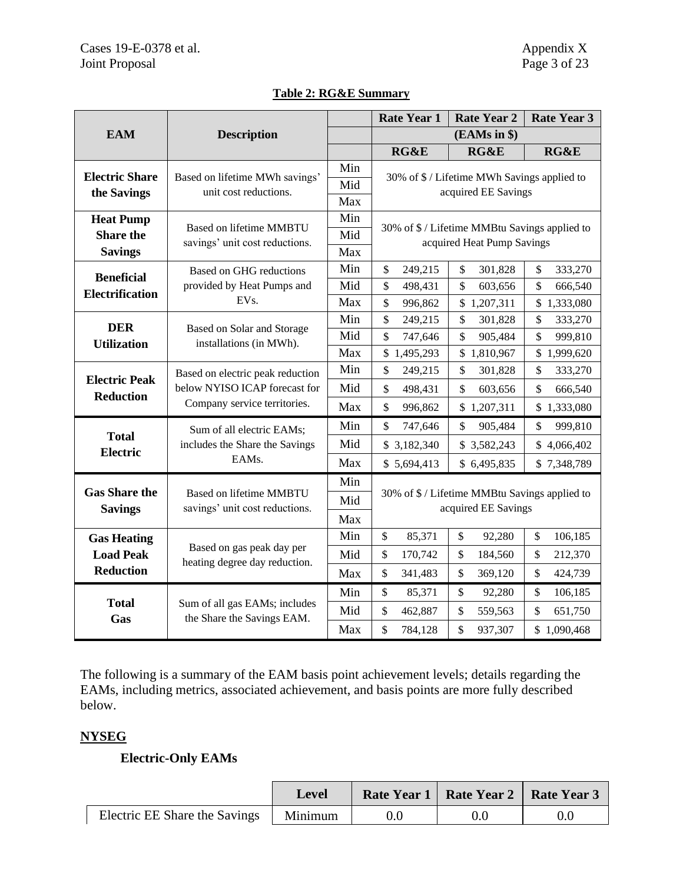|                                        |                                                                                                   |            | <b>Rate Year 1</b>                                                   | <b>Rate Year 2</b>                            | <b>Rate Year 3</b>       |  |
|----------------------------------------|---------------------------------------------------------------------------------------------------|------------|----------------------------------------------------------------------|-----------------------------------------------|--------------------------|--|
| <b>EAM</b>                             | <b>Description</b>                                                                                |            | $(EAMs$ in $)$                                                       |                                               |                          |  |
|                                        |                                                                                                   |            | <b>RG&amp;E</b>                                                      | RG&E                                          | RG&E                     |  |
| <b>Electric Share</b>                  | Based on lifetime MWh savings'                                                                    | Min        | 30% of \$ / Lifetime MWh Savings applied to                          |                                               |                          |  |
| the Savings                            | unit cost reductions.                                                                             | Mid        | acquired EE Savings                                                  |                                               |                          |  |
|                                        |                                                                                                   | Max        |                                                                      |                                               |                          |  |
| <b>Heat Pump</b>                       | <b>Based on lifetime MMBTU</b>                                                                    | Min        |                                                                      | 30% of \$ / Lifetime MMBtu Savings applied to |                          |  |
| <b>Share the</b>                       | savings' unit cost reductions.                                                                    | Mid        |                                                                      | acquired Heat Pump Savings                    |                          |  |
| <b>Savings</b>                         |                                                                                                   | Max        |                                                                      |                                               |                          |  |
| <b>Beneficial</b>                      | Based on GHG reductions                                                                           | Min        | \$<br>249,215                                                        | \$<br>301,828                                 | \$<br>333,270            |  |
| <b>Electrification</b>                 | provided by Heat Pumps and<br>EVs.                                                                | Mid<br>Max | \$<br>498,431                                                        | \$<br>603,656                                 | \$<br>666,540            |  |
|                                        |                                                                                                   |            | \$<br>996,862                                                        | \$1,207,311                                   | \$1,333,080              |  |
| <b>DER</b>                             | Based on Solar and Storage<br>installations (in MWh).<br><b>Utilization</b>                       | Min        | \$<br>249,215                                                        | \$<br>301,828                                 | \$<br>333,270            |  |
|                                        |                                                                                                   | Mid        | \$<br>747,646                                                        | \$<br>905,484                                 | \$<br>999,810            |  |
|                                        |                                                                                                   | Max        | \$1,495,293                                                          | \$1,810,967                                   | \$1,999,620              |  |
| <b>Electric Peak</b>                   | Based on electric peak reduction<br>below NYISO ICAP forecast for<br>Company service territories. | Min        | \$<br>249,215                                                        | \$<br>301,828                                 | \$<br>333,270            |  |
| <b>Reduction</b>                       |                                                                                                   | Mid<br>Max | \$<br>498,431                                                        | \$<br>603,656                                 | \$<br>666,540            |  |
|                                        |                                                                                                   |            | \$<br>996,862                                                        | \$1,207,311                                   | \$1,333,080              |  |
| <b>Total</b>                           | Sum of all electric EAMs;                                                                         | Min        | \$<br>747,646                                                        | \$<br>905,484                                 | \$<br>999,810            |  |
| <b>Electric</b>                        | includes the Share the Savings                                                                    | Mid        | \$3,182,340                                                          | \$3,582,243                                   | \$4,066,402              |  |
|                                        | EAMs.                                                                                             | Max        | \$5,694,413                                                          | \$6,495,835                                   | \$7,348,789              |  |
|                                        |                                                                                                   | Min        | 30% of \$ / Lifetime MMBtu Savings applied to<br>acquired EE Savings |                                               |                          |  |
| <b>Gas Share the</b><br><b>Savings</b> | <b>Based on lifetime MMBTU</b><br>savings' unit cost reductions.                                  | Mid        |                                                                      |                                               |                          |  |
|                                        |                                                                                                   | Max        |                                                                      |                                               |                          |  |
| <b>Gas Heating</b>                     |                                                                                                   | Min        | \$<br>85,371                                                         | \$<br>92,280                                  | $\mathbb{S}$<br>106,185  |  |
| <b>Load Peak</b>                       | Based on gas peak day per                                                                         | Mid        | \$<br>170,742                                                        | \$<br>184,560                                 | \$<br>212,370            |  |
| <b>Reduction</b>                       | heating degree day reduction.                                                                     | Max        | \$<br>341,483                                                        | \$<br>369,120                                 | \$<br>424,739            |  |
|                                        |                                                                                                   | Min        | \$<br>85,371                                                         | \$<br>92,280                                  | $\mathsf{\$}$<br>106,185 |  |
| <b>Total</b>                           | Sum of all gas EAMs; includes                                                                     | Mid        | \$<br>462,887                                                        | \$<br>559,563                                 | \$<br>651,750            |  |
| Gas                                    | the Share the Savings EAM.                                                                        | Max        | \$<br>784,128                                                        | \$<br>937,307                                 | \$1,090,468              |  |

# **Table 2: RG&E Summary**

The following is a summary of the EAM basis point achievement levels; details regarding the EAMs, including metrics, associated achievement, and basis points are more fully described below.

# **NYSEG**

# **Electric-Only EAMs**

|                                         | <b>Level</b> | Rate Year 1   Rate Year 2   Rate Year 3 |  |
|-----------------------------------------|--------------|-----------------------------------------|--|
| Electric EE Share the Savings   Minimum |              |                                         |  |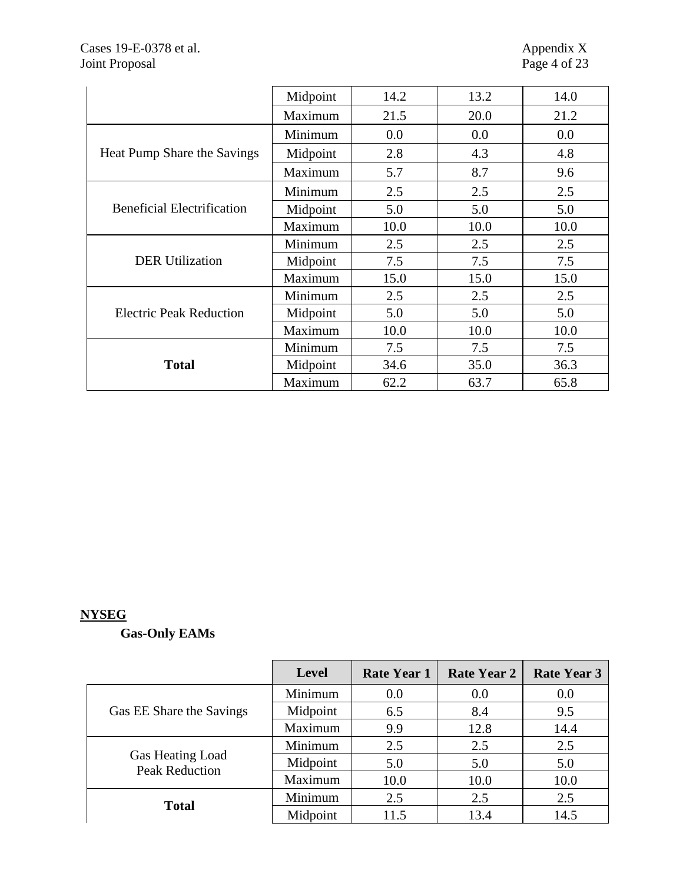|                                   | Midpoint | 14.2 | 13.2 | 14.0 |
|-----------------------------------|----------|------|------|------|
|                                   | Maximum  | 21.5 | 20.0 | 21.2 |
| Heat Pump Share the Savings       | Minimum  | 0.0  | 0.0  | 0.0  |
|                                   | Midpoint | 2.8  | 4.3  | 4.8  |
|                                   | Maximum  | 5.7  | 8.7  | 9.6  |
|                                   | Minimum  | 2.5  | 2.5  | 2.5  |
| <b>Beneficial Electrification</b> | Midpoint | 5.0  | 5.0  | 5.0  |
|                                   | Maximum  | 10.0 | 10.0 | 10.0 |
|                                   | Minimum  | 2.5  | 2.5  | 2.5  |
| <b>DER Utilization</b>            | Midpoint | 7.5  | 7.5  | 7.5  |
|                                   | Maximum  | 15.0 | 15.0 | 15.0 |
|                                   | Minimum  | 2.5  | 2.5  | 2.5  |
| <b>Electric Peak Reduction</b>    | Midpoint | 5.0  | 5.0  | 5.0  |
|                                   | Maximum  | 10.0 | 10.0 | 10.0 |
|                                   | Minimum  | 7.5  | 7.5  | 7.5  |
| <b>Total</b>                      | Midpoint | 34.6 | 35.0 | 36.3 |
|                                   | Maximum  | 62.2 | 63.7 | 65.8 |

# **NYSEG**

# **Gas-Only EAMs**

|                                           | <b>Level</b> | <b>Rate Year 1</b> | <b>Rate Year 2</b> | <b>Rate Year 3</b> |
|-------------------------------------------|--------------|--------------------|--------------------|--------------------|
|                                           | Minimum      | 0.0                | 0.0                | 0.0                |
| Gas EE Share the Savings                  | Midpoint     | 6.5                | 8.4                | 9.5                |
|                                           | Maximum      | 9.9                | 12.8               | 14.4               |
| Gas Heating Load<br><b>Peak Reduction</b> | Minimum      | 2.5                | 2.5                | 2.5                |
|                                           | Midpoint     | 5.0                | 5.0                | 5.0                |
|                                           | Maximum      | 10.0               | 10.0               | 10.0               |
| <b>Total</b>                              | Minimum      | 2.5                | 2.5                | 2.5                |
|                                           | Midpoint     | 11.5               | 13.4               | 14.5               |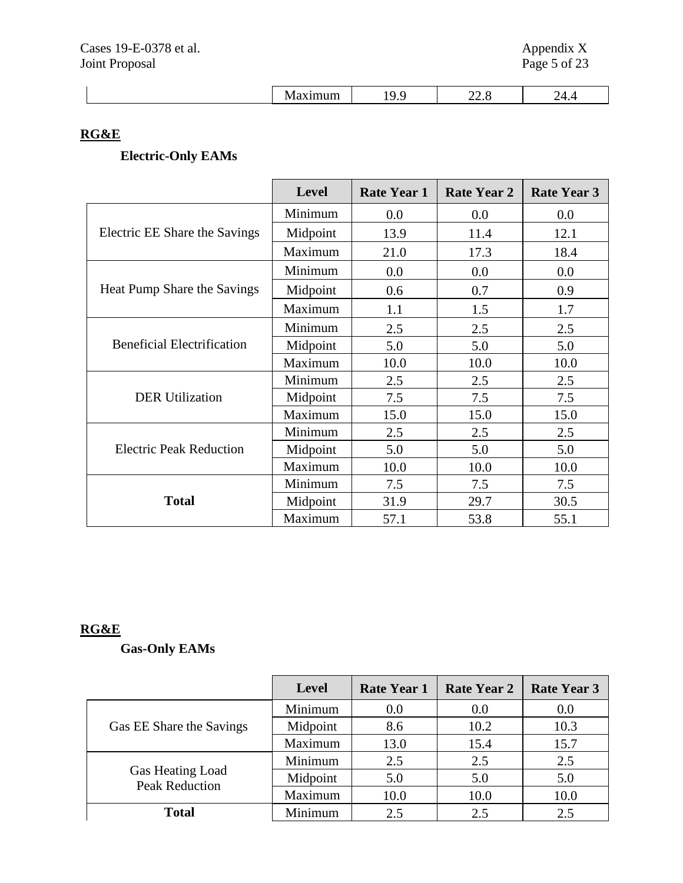| __ |
|----|
|----|

# **RG&E**

# **Electric-Only EAMs**

|                                   | <b>Level</b> | <b>Rate Year 1</b> | <b>Rate Year 2</b> | <b>Rate Year 3</b> |
|-----------------------------------|--------------|--------------------|--------------------|--------------------|
|                                   | Minimum      | 0.0                | 0.0                | 0.0                |
| Electric EE Share the Savings     | Midpoint     | 13.9               | 11.4               | 12.1               |
|                                   | Maximum      | 21.0               | 17.3               | 18.4               |
|                                   | Minimum      | 0.0                | 0.0                | 0.0                |
| Heat Pump Share the Savings       | Midpoint     | 0.6                | 0.7                | 0.9                |
|                                   | Maximum      | 1.1                | 1.5                | 1.7                |
| <b>Beneficial Electrification</b> | Minimum      | 2.5                | 2.5                | 2.5                |
|                                   | Midpoint     | 5.0                | 5.0                | 5.0                |
|                                   | Maximum      | 10.0               | 10.0               | 10.0               |
|                                   | Minimum      | 2.5                | 2.5                | 2.5                |
| <b>DER Utilization</b>            | Midpoint     | 7.5                | 7.5                | 7.5                |
|                                   | Maximum      | 15.0               | 15.0               | 15.0               |
|                                   | Minimum      | 2.5                | 2.5                | 2.5                |
| <b>Electric Peak Reduction</b>    | Midpoint     | 5.0                | 5.0                | 5.0                |
|                                   | Maximum      | 10.0               | 10.0               | 10.0               |
|                                   | Minimum      | 7.5                | 7.5                | 7.5                |
| <b>Total</b>                      | Midpoint     | 31.9               | 29.7               | 30.5               |
|                                   | Maximum      | 57.1               | 53.8               | 55.1               |

# **RG&E**

# **Gas-Only EAMs**

|                                           | <b>Level</b> | <b>Rate Year 1</b> | <b>Rate Year 2</b> | <b>Rate Year 3</b> |
|-------------------------------------------|--------------|--------------------|--------------------|--------------------|
| Gas EE Share the Savings                  | Minimum      | 0.0                | 0.0                | 0.0                |
|                                           | Midpoint     | 8.6                | 10.2               | 10.3               |
|                                           | Maximum      | 13.0               | 15.4               | 15.7               |
| Gas Heating Load<br><b>Peak Reduction</b> | Minimum      | 2.5                | 2.5                | 2.5                |
|                                           | Midpoint     | 5.0                | 5.0                | 5.0                |
|                                           | Maximum      | 10.0               | 10.0               | 10.0               |
| <b>Total</b>                              | Minimum      | 2.5                | 2.5                | 2.5                |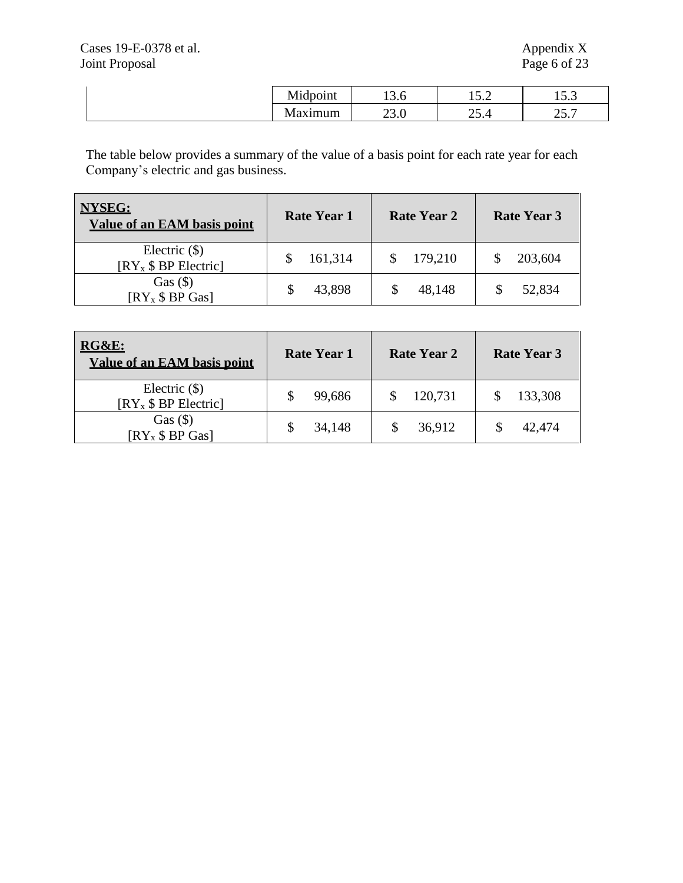| Midpoint | 19.U       | 5 O<br>1J.Z  | $  \sim$<br>1 J .J |
|----------|------------|--------------|--------------------|
| laxımum  | $\omega$ . | $\omega$ . T | ד בר<br>، . ب      |

The table below provides a summary of the value of a basis point for each rate year for each Company's electric and gas business.

| <b>NYSEG:</b><br><b>Value of an EAM basis point</b> | Rate Year 1 | <b>Rate Year 2</b> | <b>Rate Year 3</b> |
|-----------------------------------------------------|-------------|--------------------|--------------------|
| Electric $(\$)$<br>$[RY_x $ BP$ Electric            | 161,314     | 179,210            | 203,604            |
| $Gas ($\)$<br>$[RY_x $ BP Gas]$                     | 43,898      | 48,148             | 52,834             |

| RG&E:<br><b>Value of an EAM basis point</b> | <b>Rate Year 1</b> | <b>Rate Year 2</b> | <b>Rate Year 3</b> |
|---------------------------------------------|--------------------|--------------------|--------------------|
| Electric $(\$)$<br>$[RY_x $ BP$ Electric]   | 99,686             | 120,731            | 133,308            |
| $Gas ($\)$<br>$[RY_x $ BP Gas]$             | 34,148             | 36,912             | 42,474             |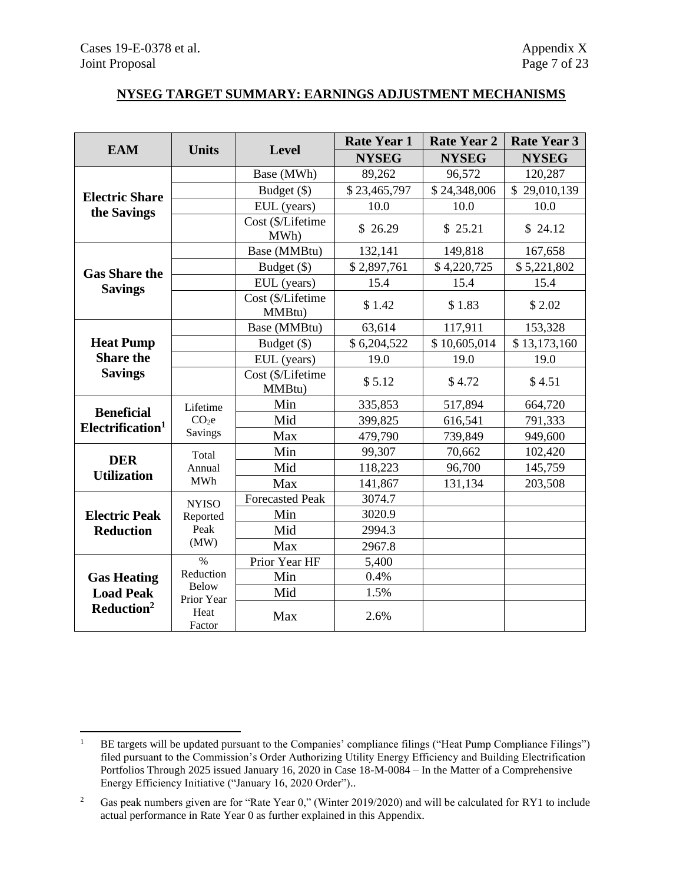### **NYSEG TARGET SUMMARY: EARNINGS ADJUSTMENT MECHANISMS**

|                                      |                                                 |                             | <b>Rate Year 1</b> | <b>Rate Year 2</b> | <b>Rate Year 3</b>         |
|--------------------------------------|-------------------------------------------------|-----------------------------|--------------------|--------------------|----------------------------|
| <b>EAM</b>                           | <b>Units</b>                                    | <b>Level</b>                | <b>NYSEG</b>       | <b>NYSEG</b>       | <b>NYSEG</b>               |
|                                      |                                                 | Base (MWh)                  | 89,262             | 96,572             | 120,287                    |
|                                      |                                                 | Budget (\$)                 | \$23,465,797       | \$24,348,006       | $\mathbb{S}$<br>29,010,139 |
| <b>Electric Share</b><br>the Savings |                                                 | EUL (years)                 | 10.0               | 10.0               | 10.0                       |
|                                      |                                                 | Cost (\$/Lifetime<br>MWh)   | \$26.29            | \$25.21            | \$24.12                    |
|                                      |                                                 | Base (MMBtu)                | 132,141            | 149,818            | 167,658                    |
| <b>Gas Share the</b>                 |                                                 | Budget (\$)                 | \$2,897,761        | \$4,220,725        | \$5,221,802                |
| <b>Savings</b>                       |                                                 | EUL (years)                 | 15.4               | 15.4               | 15.4                       |
|                                      |                                                 | Cost (\$/Lifetime<br>MMBtu) | \$1.42             | \$1.83             | \$2.02                     |
|                                      |                                                 | Base (MMBtu)                | 63,614             | 117,911            | 153,328                    |
| <b>Heat Pump</b>                     |                                                 | Budget (\$)                 | \$6,204,522        | \$10,605,014       | \$13,173,160               |
| <b>Share the</b>                     |                                                 | EUL (years)                 | 19.0               | 19.0               | 19.0                       |
| <b>Savings</b>                       | Cost (\$/Lifetime<br>MMBtu)                     | \$5.12                      | \$4.72             | \$4.51             |                            |
| <b>Beneficial</b>                    | Lifetime                                        | Min                         | 335,853            | 517,894            | 664,720                    |
| Electrification <sup>1</sup>         | CO <sub>2</sub> e                               | Mid                         | 399,825            | 616,541            | 791,333                    |
|                                      | Savings                                         | Max                         | 479,790            | 739,849            | 949,600                    |
| <b>DER</b>                           | Total                                           | Min                         | 99,307             | 70,662             | 102,420                    |
| <b>Utilization</b>                   | Annual                                          | Mid                         | 118,223            | 96,700             | 145,759                    |
|                                      | <b>MWh</b>                                      | Max                         | 141,867            | 131,134            | 203,508                    |
|                                      | <b>NYISO</b>                                    | <b>Forecasted Peak</b>      | 3074.7             |                    |                            |
| <b>Electric Peak</b>                 | Reported                                        | Min                         | 3020.9             |                    |                            |
| <b>Reduction</b>                     | Peak                                            | Mid                         | 2994.3             |                    |                            |
|                                      | (MW)                                            | Max                         | 2967.8             |                    |                            |
|                                      | $\%$                                            | Prior Year HF               | 5,400              |                    |                            |
|                                      | Reduction<br><b>Gas Heating</b><br><b>Below</b> | Min                         | 0.4%               |                    |                            |
| <b>Load Peak</b>                     | Prior Year                                      | Mid                         | 1.5%               |                    |                            |
| Reduction <sup>2</sup>               | Heat<br>Factor                                  | Max                         | 2.6%               |                    |                            |

<sup>&</sup>lt;sup>1</sup> BE targets will be updated pursuant to the Companies' compliance filings ("Heat Pump Compliance Filings") filed pursuant to the Commission's Order Authorizing Utility Energy Efficiency and Building Electrification Portfolios Through 2025 issued January 16, 2020 in Case 18-M-0084 – In the Matter of a Comprehensive Energy Efficiency Initiative ("January 16, 2020 Order")..

<sup>&</sup>lt;sup>2</sup> Gas peak numbers given are for "Rate Year 0," (Winter 2019/2020) and will be calculated for RY1 to include actual performance in Rate Year 0 as further explained in this Appendix.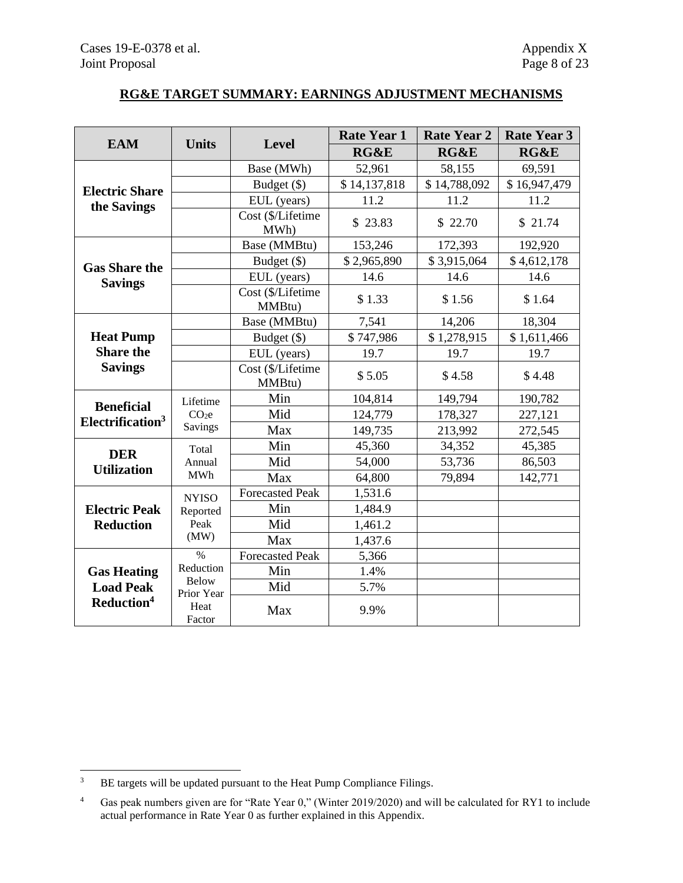# **RG&E TARGET SUMMARY: EARNINGS ADJUSTMENT MECHANISMS**

|                              | <b>Level</b>                            |                             | <b>Rate Year 1</b> | <b>Rate Year 2</b> | <b>Rate Year 3</b> |
|------------------------------|-----------------------------------------|-----------------------------|--------------------|--------------------|--------------------|
| <b>EAM</b>                   | <b>Units</b>                            |                             | <b>RG&amp;E</b>    | RG&E               | RG&E               |
|                              |                                         | Base (MWh)                  | 52,961             | 58,155             | 69,591             |
| <b>Electric Share</b>        |                                         | Budget (\$)                 | \$14,137,818       | \$14,788,092       | \$16,947,479       |
| the Savings                  |                                         | EUL (years)                 | 11.2               | 11.2               | 11.2               |
|                              |                                         | Cost (\$/Lifetime<br>MWh)   | \$23.83            | \$22.70            | \$21.74            |
|                              |                                         | Base (MMBtu)                | 153,246            | 172,393            | 192,920            |
| <b>Gas Share the</b>         |                                         | Budget (\$)                 | \$2,965,890        | \$3,915,064        | \$4,612,178        |
| <b>Savings</b>               |                                         | EUL (years)                 | 14.6               | 14.6               | 14.6               |
|                              |                                         | Cost (\$/Lifetime<br>MMBtu) | \$1.33             | \$1.56             | \$1.64             |
|                              |                                         | Base (MMBtu)                | 7,541              | 14,206             | 18,304             |
| <b>Heat Pump</b>             |                                         | Budget (\$)                 | \$747,986          | \$1,278,915        | \$1,611,466        |
| <b>Share the</b>             |                                         | EUL (years)                 | 19.7               | 19.7               | 19.7               |
| <b>Savings</b>               |                                         | Cost (\$/Lifetime<br>MMBtu) | \$5.05             | \$4.58             | \$4.48             |
| <b>Beneficial</b>            | Lifetime                                | Min                         | 104,814            | 149,794            | 190,782            |
| Electrification <sup>3</sup> | CO <sub>2</sub> e                       | Mid                         | 124,779            | 178,327            | 227,121            |
|                              | Savings                                 | Max                         | 149,735            | 213,992            | 272,545            |
| <b>DER</b>                   | Total                                   | Min                         | 45,360             | 34,352             | 45,385             |
| <b>Utilization</b>           | Annual                                  | Mid                         | 54,000             | 53,736             | 86,503             |
|                              | <b>MWh</b>                              | Max                         | 64,800             | 79,894             | 142,771            |
|                              | <b>NYISO</b>                            | <b>Forecasted Peak</b>      | 1,531.6            |                    |                    |
| <b>Electric Peak</b>         | Reported                                | Min                         | 1,484.9            |                    |                    |
| <b>Reduction</b>             | Peak                                    | Mid                         | 1,461.2            |                    |                    |
|                              | (MW)                                    | Max                         | 1,437.6            |                    |                    |
|                              | $\%$                                    | <b>Forecasted Peak</b>      | 5,366              |                    |                    |
| <b>Gas Heating</b>           | Reduction<br><b>Below</b><br>Prior Year | Min                         | 1.4%               |                    |                    |
| <b>Load Peak</b>             |                                         | Mid                         | 5.7%               |                    |                    |
| Reduction <sup>4</sup>       | Heat<br>Factor                          | Max                         | 9.9%               |                    |                    |

<sup>&</sup>lt;sup>3</sup> BE targets will be updated pursuant to the Heat Pump Compliance Filings.

<sup>4</sup> Gas peak numbers given are for "Rate Year 0," (Winter 2019/2020) and will be calculated for RY1 to include actual performance in Rate Year 0 as further explained in this Appendix.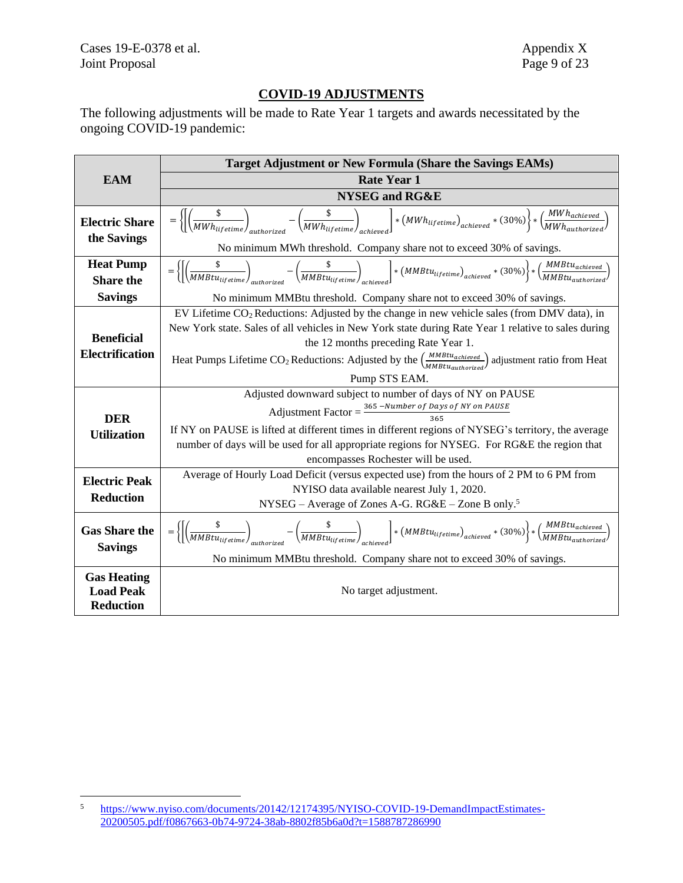# **COVID-19 ADJUSTMENTS**

The following adjustments will be made to Rate Year 1 targets and awards necessitated by the ongoing COVID-19 pandemic:

|                                                            | Target Adjustment or New Formula (Share the Savings EAMs)                                                                                                                                                                                                                                  |  |  |  |  |
|------------------------------------------------------------|--------------------------------------------------------------------------------------------------------------------------------------------------------------------------------------------------------------------------------------------------------------------------------------------|--|--|--|--|
| <b>EAM</b>                                                 | <b>Rate Year 1</b>                                                                                                                                                                                                                                                                         |  |  |  |  |
|                                                            | <b>NYSEG</b> and RG&E                                                                                                                                                                                                                                                                      |  |  |  |  |
| <b>Electric Share</b><br>the Savings                       | $=\left\{\left[\left(\frac{\$}{MWh_{lifetime}}\right)_{\ldots,\text{a.s.}}-\left(\frac{\$}{MWh_{lifetime}}\right)_{\text{a.s.}}\right]*\left(MWh_{lifetime}\right)_{achieved}*(30\%)\right\}*\left(\frac{MWh_{achieved}}{MWh_{authorized}}\right)$                                         |  |  |  |  |
|                                                            | No minimum MWh threshold. Company share not to exceed 30% of savings.                                                                                                                                                                                                                      |  |  |  |  |
| <b>Heat Pump</b><br><b>Share the</b>                       | $=\left\{\left[\left(\frac{\$}{MMBt_{Uiterime}}\right)\right.\qquad \qquad -\left(\frac{\$}{MMBt_{Uiterime}}\right)\right.\qquad \qquad \right]\ast \left(MMBt_{Uiterime}\right)_{achieved}\ast\left(30\%\right)\right\} \ast \left(\frac{MMBt_{Uachtiveed}}{MMBt_{Uachtovirized}}\right)$ |  |  |  |  |
| <b>Savings</b>                                             | No minimum MMBtu threshold. Company share not to exceed 30% of savings.                                                                                                                                                                                                                    |  |  |  |  |
|                                                            | EV Lifetime CO <sub>2</sub> Reductions: Adjusted by the change in new vehicle sales (from DMV data), in<br>New York state. Sales of all vehicles in New York state during Rate Year 1 relative to sales during                                                                             |  |  |  |  |
| <b>Beneficial</b>                                          | the 12 months preceding Rate Year 1.                                                                                                                                                                                                                                                       |  |  |  |  |
| <b>Electrification</b>                                     | Heat Pumps Lifetime CO <sub>2</sub> Reductions: Adjusted by the $\left(\frac{MMBtu_{achieved}}{MMBtu_{autborida}}\right)$ adjustment ratio from Heat                                                                                                                                       |  |  |  |  |
|                                                            | Pump STS EAM.                                                                                                                                                                                                                                                                              |  |  |  |  |
|                                                            | Adjusted downward subject to number of days of NY on PAUSE                                                                                                                                                                                                                                 |  |  |  |  |
| <b>DER</b>                                                 | Adjustment Factor = $\frac{365 - Number of Days of NY on PAUSE}{365}$                                                                                                                                                                                                                      |  |  |  |  |
| <b>Utilization</b>                                         | If NY on PAUSE is lifted at different times in different regions of NYSEG's territory, the average                                                                                                                                                                                         |  |  |  |  |
|                                                            | number of days will be used for all appropriate regions for NYSEG. For RG&E the region that                                                                                                                                                                                                |  |  |  |  |
|                                                            | encompasses Rochester will be used.                                                                                                                                                                                                                                                        |  |  |  |  |
| <b>Electric Peak</b>                                       | Average of Hourly Load Deficit (versus expected use) from the hours of 2 PM to 6 PM from                                                                                                                                                                                                   |  |  |  |  |
| <b>Reduction</b>                                           | NYISO data available nearest July 1, 2020.                                                                                                                                                                                                                                                 |  |  |  |  |
|                                                            | NYSEG – Average of Zones A-G. $R G \& E$ – Zone B only. <sup>5</sup>                                                                                                                                                                                                                       |  |  |  |  |
| <b>Gas Share the</b><br><b>Savings</b>                     | $=\left\{\left[\left(\frac{\$}{MMBtu_{lifetime}}\right)_{\text{with critical}}-\left(\frac{\$}{MMBtu_{lifetime}}\right)_{\text{a-thime}}\right]*\left(MMBtu_{lifetime}\right)_{\text{achieved}}*(30\%)\right\}*\left(\frac{MMBtu_{alithmeticed}}{MMBtu_{alithmeticed}}\right)$             |  |  |  |  |
|                                                            | No minimum MMBtu threshold. Company share not to exceed 30% of savings.                                                                                                                                                                                                                    |  |  |  |  |
| <b>Gas Heating</b><br><b>Load Peak</b><br><b>Reduction</b> | No target adjustment.                                                                                                                                                                                                                                                                      |  |  |  |  |

<sup>5</sup> [https://www.nyiso.com/documents/20142/12174395/NYISO-COVID-19-DemandImpactEstimates-](https://www.nyiso.com/documents/20142/12174395/NYISO-COVID-19-DemandImpactEstimates-20200505.pdf/f0867663-0b74-9724-38ab-8802f85b6a0d?t=1588787286990)[20200505.pdf/f0867663-0b74-9724-38ab-8802f85b6a0d?t=1588787286990](https://www.nyiso.com/documents/20142/12174395/NYISO-COVID-19-DemandImpactEstimates-20200505.pdf/f0867663-0b74-9724-38ab-8802f85b6a0d?t=1588787286990)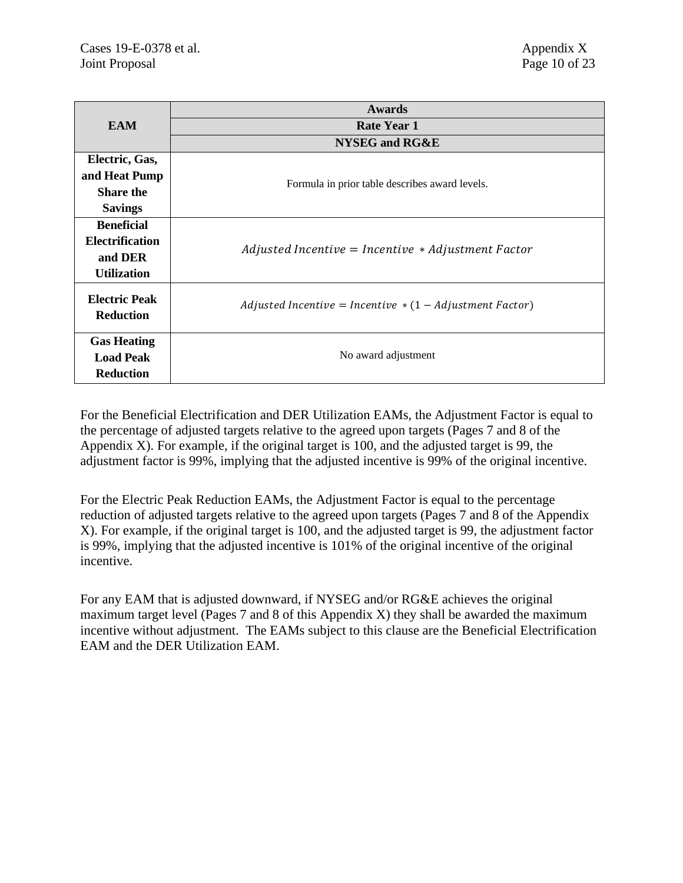|                                          | <b>Awards</b>                                             |
|------------------------------------------|-----------------------------------------------------------|
| <b>EAM</b>                               | <b>Rate Year 1</b>                                        |
|                                          | NYSEG and RG&E                                            |
| Electric, Gas,                           |                                                           |
| and Heat Pump                            | Formula in prior table describes award levels.            |
| <b>Share the</b>                         |                                                           |
| <b>Savings</b>                           |                                                           |
| <b>Beneficial</b>                        |                                                           |
| <b>Electrification</b>                   | $Adjusted$ Incentive = Incentive $*$ Adjustment Factor    |
| and DER                                  |                                                           |
| <b>Utilization</b>                       |                                                           |
| <b>Electric Peak</b><br><b>Reduction</b> | Adjusted Incentive = Incentive $*(1 - Adjustment Factor)$ |
| <b>Gas Heating</b>                       |                                                           |
| <b>Load Peak</b>                         | No award adjustment                                       |
| <b>Reduction</b>                         |                                                           |

For the Beneficial Electrification and DER Utilization EAMs, the Adjustment Factor is equal to the percentage of adjusted targets relative to the agreed upon targets (Pages 7 and 8 of the Appendix X). For example, if the original target is 100, and the adjusted target is 99, the adjustment factor is 99%, implying that the adjusted incentive is 99% of the original incentive.

For the Electric Peak Reduction EAMs, the Adjustment Factor is equal to the percentage reduction of adjusted targets relative to the agreed upon targets (Pages 7 and 8 of the Appendix X). For example, if the original target is 100, and the adjusted target is 99, the adjustment factor is 99%, implying that the adjusted incentive is 101% of the original incentive of the original incentive.

For any EAM that is adjusted downward, if NYSEG and/or RG&E achieves the original maximum target level (Pages  $7$  and  $8$  of this Appendix X) they shall be awarded the maximum incentive without adjustment. The EAMs subject to this clause are the Beneficial Electrification EAM and the DER Utilization EAM.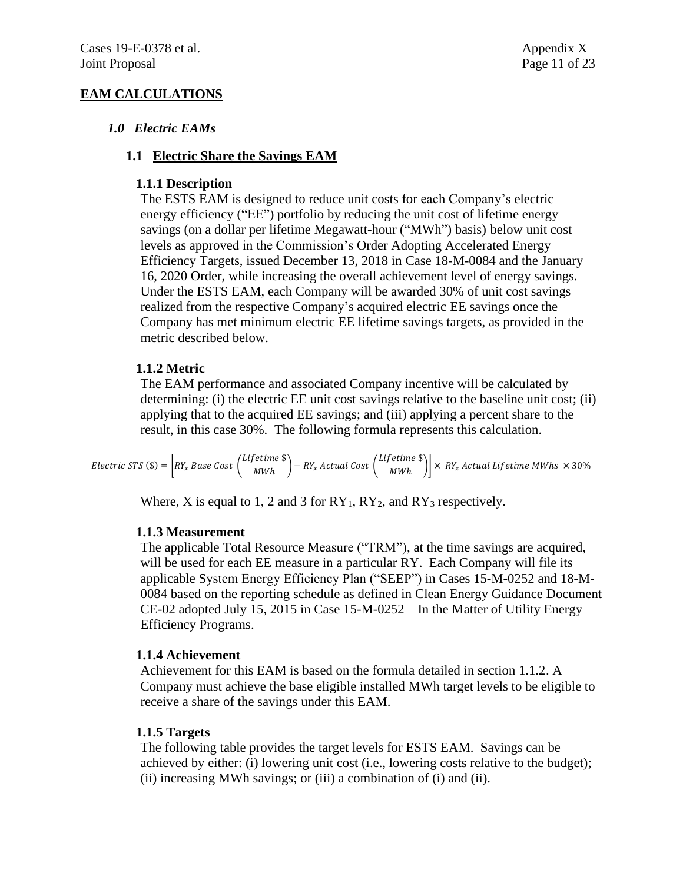# **EAM CALCULATIONS**

### *1.0 Electric EAMs*

#### **1.1 Electric Share the Savings EAM**

### **1.1.1 Description**

The ESTS EAM is designed to reduce unit costs for each Company's electric energy efficiency ("EE") portfolio by reducing the unit cost of lifetime energy savings (on a dollar per lifetime Megawatt-hour ("MWh") basis) below unit cost levels as approved in the Commission's Order Adopting Accelerated Energy Efficiency Targets, issued December 13, 2018 in Case 18-M-0084 and the January 16, 2020 Order, while increasing the overall achievement level of energy savings. Under the ESTS EAM, each Company will be awarded 30% of unit cost savings realized from the respective Company's acquired electric EE savings once the Company has met minimum electric EE lifetime savings targets, as provided in the metric described below.

### **1.1.2 Metric**

The EAM performance and associated Company incentive will be calculated by determining: (i) the electric EE unit cost savings relative to the baseline unit cost; (ii) applying that to the acquired EE savings; and (iii) applying a percent share to the result, in this case 30%. The following formula represents this calculation.

Electric STS (\$) =  $\int RY_x$  Base Cost  $\left(\frac{\text{Lifetime $\$}}{MWh}\right)$  $\left(\frac{1}{2} \frac{1}{\epsilon}\right) - R Y_x$  Actual Cost  $\left(\frac{1}{2} \frac{1}{\epsilon}\right)$  $\left|\frac{1}{\text{MWh}}\right| \times \text{RY}_x$  Actual Lifetime MWhs  $\times$  30%

Where, X is equal to 1, 2 and 3 for  $RY_1$ ,  $RY_2$ , and  $RY_3$  respectively.

#### **1.1.3 Measurement**

The applicable Total Resource Measure ("TRM"), at the time savings are acquired, will be used for each EE measure in a particular RY. Each Company will file its applicable System Energy Efficiency Plan ("SEEP") in Cases 15-M-0252 and 18-M-0084 based on the reporting schedule as defined in Clean Energy Guidance Document CE-02 adopted July 15, 2015 in Case 15-M-0252 – In the Matter of Utility Energy Efficiency Programs.

#### **1.1.4 Achievement**

Achievement for this EAM is based on the formula detailed in section 1.1.2. A Company must achieve the base eligible installed MWh target levels to be eligible to receive a share of the savings under this EAM.

#### **1.1.5 Targets**

The following table provides the target levels for ESTS EAM. Savings can be achieved by either: (i) lowering unit cost (i.e., lowering costs relative to the budget); (ii) increasing MWh savings; or (iii) a combination of (i) and (ii).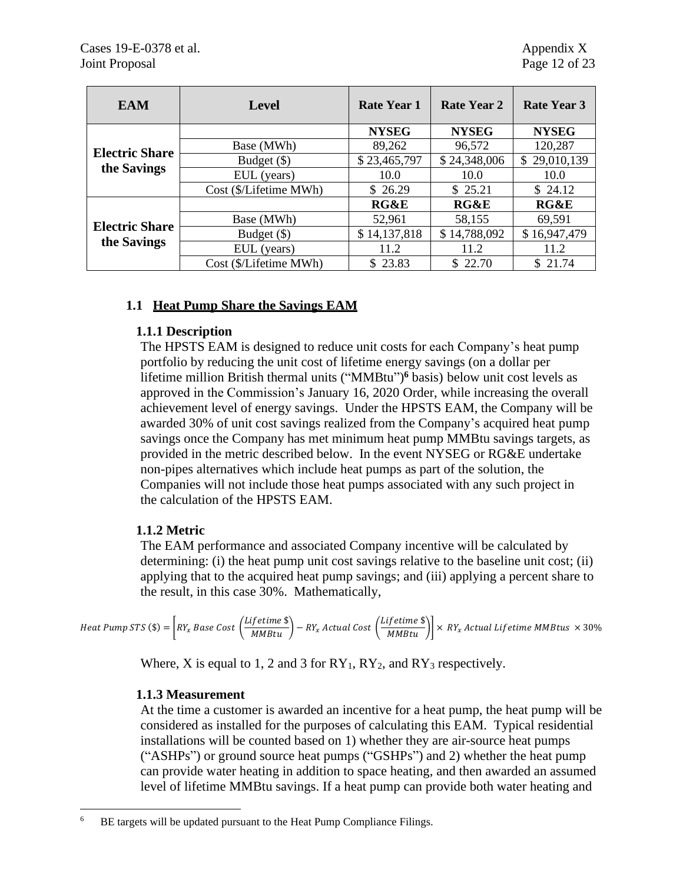| <b>EAM</b>            | <b>Level</b>           | <b>Rate Year 1</b> | Rate Year 2     | <b>Rate Year 3</b> |
|-----------------------|------------------------|--------------------|-----------------|--------------------|
|                       |                        | <b>NYSEG</b>       | <b>NYSEG</b>    | <b>NYSEG</b>       |
| <b>Electric Share</b> | Base (MWh)             | 89,262             | 96,572          | 120,287            |
|                       | Budget (\$)            | \$23,465,797       | \$24,348,006    | \$29,010,139       |
| the Savings           | EUL (years)            | 10.0               | 10.0            | 10.0               |
|                       | Cost (\$/Lifetime MWh) | \$ 26.29           | \$ 25.21        | \$24.12            |
|                       |                        | <b>RG&amp;E</b>    | <b>RG&amp;E</b> | RG&E               |
| <b>Electric Share</b> | Base (MWh)             | 52,961             | 58,155          | 69,591             |
| the Savings           | Budget (\$)            | \$14,137,818       | \$14,788,092    | \$16,947,479       |
|                       | EUL (years)            | 11.2               | 11.2            | 11.2               |
|                       | Cost (\$/Lifetime MWh) | \$23.83            | \$22.70         | \$21.74            |

# **1.1 Heat Pump Share the Savings EAM**

# **1.1.1 Description**

The HPSTS EAM is designed to reduce unit costs for each Company's heat pump portfolio by reducing the unit cost of lifetime energy savings (on a dollar per lifetime million British thermal units ("MMBtu")<sup>6</sup> basis) below unit cost levels as approved in the Commission's January 16, 2020 Order, while increasing the overall achievement level of energy savings. Under the HPSTS EAM, the Company will be awarded 30% of unit cost savings realized from the Company's acquired heat pump savings once the Company has met minimum heat pump MMBtu savings targets, as provided in the metric described below. In the event NYSEG or RG&E undertake non-pipes alternatives which include heat pumps as part of the solution, the Companies will not include those heat pumps associated with any such project in the calculation of the HPSTS EAM.

# **1.1.2 Metric**

The EAM performance and associated Company incentive will be calculated by determining: (i) the heat pump unit cost savings relative to the baseline unit cost; (ii) applying that to the acquired heat pump savings; and (iii) applying a percent share to the result, in this case 30%. Mathematically,

Heat Pump STS (\$) =  $\bigg[R Y_x$  Base Cost  $\bigg(\frac{Lifetime \text{ $\$}}{MBtu}\bigg) - R Y_x$  Actual Cost  $\bigg(\frac{Lifetime \text{ $\$}}{MBtu}\bigg)\bigg] \times R Y_x$  Actual Lifetime MMBtus  $\,\times\,30\%$ 

Where, X is equal to 1, 2 and 3 for  $RY_1$ ,  $RY_2$ , and  $RY_3$  respectively.

#### **1.1.3 Measurement**

At the time a customer is awarded an incentive for a heat pump, the heat pump will be considered as installed for the purposes of calculating this EAM. Typical residential installations will be counted based on 1) whether they are air-source heat pumps ("ASHPs") or ground source heat pumps ("GSHPs") and 2) whether the heat pump can provide water heating in addition to space heating, and then awarded an assumed level of lifetime MMBtu savings. If a heat pump can provide both water heating and

BE targets will be updated pursuant to the Heat Pump Compliance Filings.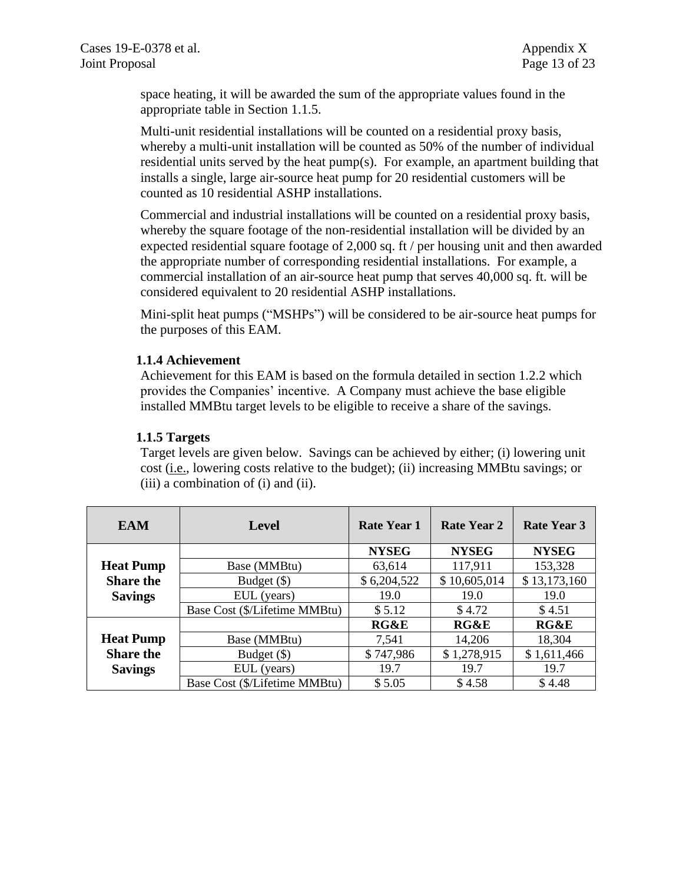space heating, it will be awarded the sum of the appropriate values found in the appropriate table in Section 1.1.5.

Multi-unit residential installations will be counted on a residential proxy basis, whereby a multi-unit installation will be counted as 50% of the number of individual residential units served by the heat pump(s). For example, an apartment building that installs a single, large air-source heat pump for 20 residential customers will be counted as 10 residential ASHP installations.

Commercial and industrial installations will be counted on a residential proxy basis, whereby the square footage of the non-residential installation will be divided by an expected residential square footage of 2,000 sq. ft / per housing unit and then awarded the appropriate number of corresponding residential installations. For example, a commercial installation of an air-source heat pump that serves 40,000 sq. ft. will be considered equivalent to 20 residential ASHP installations.

Mini-split heat pumps ("MSHPs") will be considered to be air-source heat pumps for the purposes of this EAM.

#### **1.1.4 Achievement**

Achievement for this EAM is based on the formula detailed in section 1.2.2 which provides the Companies' incentive. A Company must achieve the base eligible installed MMBtu target levels to be eligible to receive a share of the savings.

### **1.1.5 Targets**

Target levels are given below. Savings can be achieved by either; (i) lowering unit cost (i.e., lowering costs relative to the budget); (ii) increasing MMBtu savings; or (iii) a combination of (i) and (ii).

| <b>EAM</b>       | <b>Level</b>                  | <b>Rate Year 1</b> | Rate Year 2  | <b>Rate Year 3</b> |
|------------------|-------------------------------|--------------------|--------------|--------------------|
|                  |                               | <b>NYSEG</b>       | <b>NYSEG</b> | <b>NYSEG</b>       |
| <b>Heat Pump</b> | Base (MMBtu)                  | 63,614             | 117,911      | 153,328            |
| <b>Share the</b> | Budget (\$)                   | \$6,204,522        | \$10,605,014 | \$13,173,160       |
| <b>Savings</b>   | EUL (years)                   | 19.0               | 19.0         | 19.0               |
|                  | Base Cost (\$/Lifetime MMBtu) | \$5.12             | \$4.72       | \$4.51             |
|                  |                               | RG&E               | RG&E         | RG&E               |
| <b>Heat Pump</b> | Base (MMBtu)                  | 7,541              | 14,206       | 18,304             |
| <b>Share the</b> | Budget $(\$)$                 | \$747,986          | \$1,278,915  | \$1,611,466        |
| <b>Savings</b>   | EUL (years)                   | 19.7               | 19.7         | 19.7               |
|                  | Base Cost (\$/Lifetime MMBtu) | \$5.05             | \$4.58       | \$4.48             |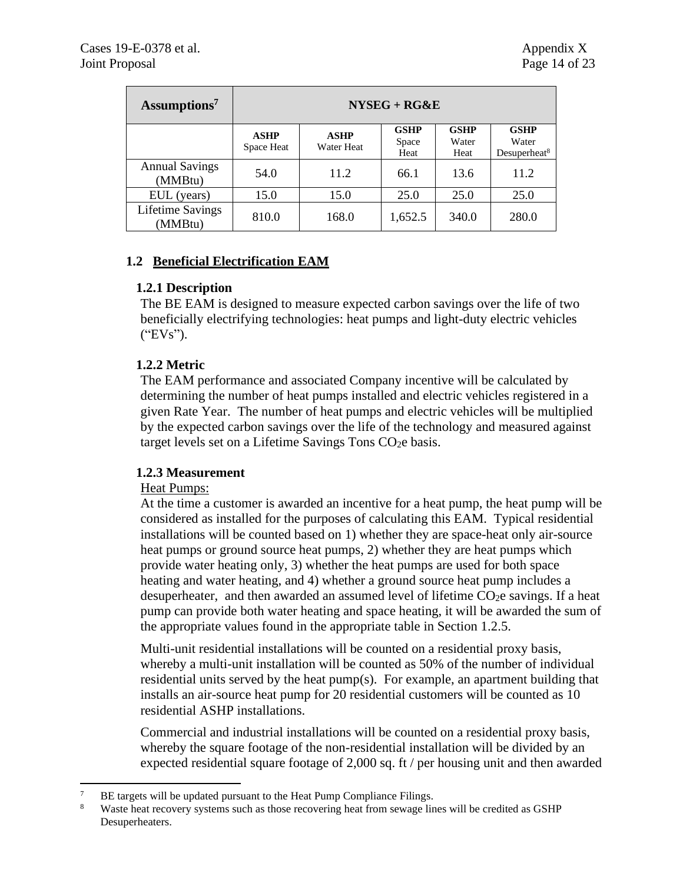| Assumptions <sup>7</sup>           | $NYSEG + RG&E$            |                           |                              |                              |                                                  |  |
|------------------------------------|---------------------------|---------------------------|------------------------------|------------------------------|--------------------------------------------------|--|
|                                    | <b>ASHP</b><br>Space Heat | <b>ASHP</b><br>Water Heat | <b>GSHP</b><br>Space<br>Heat | <b>GSHP</b><br>Water<br>Heat | <b>GSHP</b><br>Water<br>Desuperheat <sup>8</sup> |  |
| <b>Annual Savings</b><br>(MMBtu)   | 54.0                      | 11.2                      | 66.1                         | 13.6                         | 11.2                                             |  |
| EUL (years)                        | 15.0                      | 15.0                      | 25.0                         | 25.0                         | 25.0                                             |  |
| <b>Lifetime Savings</b><br>(MMBtu) | 810.0                     | 168.0                     | 1,652.5                      | 340.0                        | 280.0                                            |  |

# **1.2 Beneficial Electrification EAM**

### **1.2.1 Description**

The BE EAM is designed to measure expected carbon savings over the life of two beneficially electrifying technologies: heat pumps and light-duty electric vehicles ("EVs").

# **1.2.2 Metric**

The EAM performance and associated Company incentive will be calculated by determining the number of heat pumps installed and electric vehicles registered in a given Rate Year. The number of heat pumps and electric vehicles will be multiplied by the expected carbon savings over the life of the technology and measured against target levels set on a Lifetime Savings Tons CO<sub>2</sub>e basis.

# **1.2.3 Measurement**

#### Heat Pumps:

At the time a customer is awarded an incentive for a heat pump, the heat pump will be considered as installed for the purposes of calculating this EAM. Typical residential installations will be counted based on 1) whether they are space-heat only air-source heat pumps or ground source heat pumps, 2) whether they are heat pumps which provide water heating only, 3) whether the heat pumps are used for both space heating and water heating, and 4) whether a ground source heat pump includes a desuperheater, and then awarded an assumed level of lifetime CO<sub>2</sub>e savings. If a heat pump can provide both water heating and space heating, it will be awarded the sum of the appropriate values found in the appropriate table in Section 1.2.5.

Multi-unit residential installations will be counted on a residential proxy basis, whereby a multi-unit installation will be counted as 50% of the number of individual residential units served by the heat pump(s). For example, an apartment building that installs an air-source heat pump for 20 residential customers will be counted as 10 residential ASHP installations.

Commercial and industrial installations will be counted on a residential proxy basis, whereby the square footage of the non-residential installation will be divided by an expected residential square footage of 2,000 sq. ft / per housing unit and then awarded

<sup>&</sup>lt;sup>7</sup> BE targets will be updated pursuant to the Heat Pump Compliance Filings.

Waste heat recovery systems such as those recovering heat from sewage lines will be credited as GSHP Desuperheaters.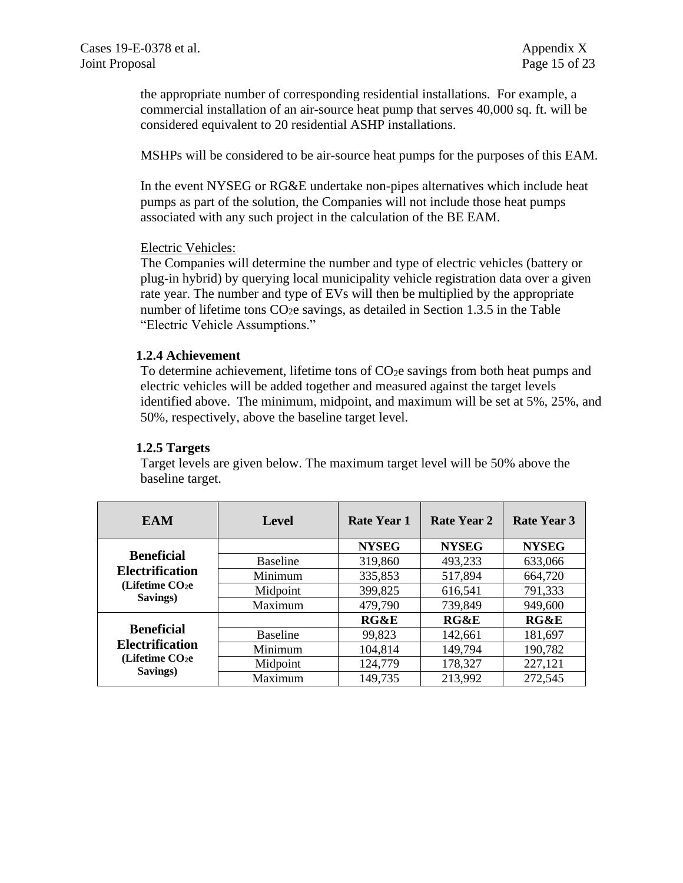the appropriate number of corresponding residential installations. For example, a commercial installation of an air-source heat pump that serves 40,000 sq. ft. will be considered equivalent to 20 residential ASHP installations.

MSHPs will be considered to be air-source heat pumps for the purposes of this EAM.

In the event NYSEG or RG&E undertake non-pipes alternatives which include heat pumps as part of the solution, the Companies will not include those heat pumps associated with any such project in the calculation of the BE EAM.

#### Electric Vehicles:

The Companies will determine the number and type of electric vehicles (battery or plug-in hybrid) by querying local municipality vehicle registration data over a given rate year. The number and type of EVs will then be multiplied by the appropriate number of lifetime tons  $CO<sub>2</sub>e$  savings, as detailed in Section 1.3.5 in the Table "Electric Vehicle Assumptions."

#### **1.2.4 Achievement**

To determine achievement, lifetime tons of  $CO<sub>2</sub>e$  savings from both heat pumps and electric vehicles will be added together and measured against the target levels identified above. The minimum, midpoint, and maximum will be set at 5%, 25%, and 50%, respectively, above the baseline target level.

#### **1.2.5 Targets**

Target levels are given below. The maximum target level will be 50% above the baseline target.

| <b>EAM</b>                                                         | Level           | <b>Rate Year 1</b> | Rate Year 2  | <b>Rate Year 3</b> |
|--------------------------------------------------------------------|-----------------|--------------------|--------------|--------------------|
|                                                                    |                 | <b>NYSEG</b>       | <b>NYSEG</b> | <b>NYSEG</b>       |
| <b>Beneficial</b>                                                  | <b>Baseline</b> | 319,860            | 493,233      | 633,066            |
| <b>Electrification</b>                                             | Minimum         | 335,853            | 517,894      | 664,720            |
| (Lifetime CO <sub>2</sub> e)<br>Savings)                           | Midpoint        | 399,825            | 616,541      | 791,333            |
|                                                                    | Maximum         | 479,790            | 739,849      | 949,600            |
|                                                                    |                 | RG&E               | RG&E         | RG&E               |
| <b>Beneficial</b>                                                  | <b>Baseline</b> | 99,823             | 142,661      | 181,697            |
| <b>Electrification</b><br>(Lifetime CO <sub>2</sub> e)<br>Savings) | Minimum         | 104,814            | 149,794      | 190,782            |
|                                                                    | Midpoint        | 124,779            | 178,327      | 227,121            |
|                                                                    | Maximum         | 149,735            | 213,992      | 272,545            |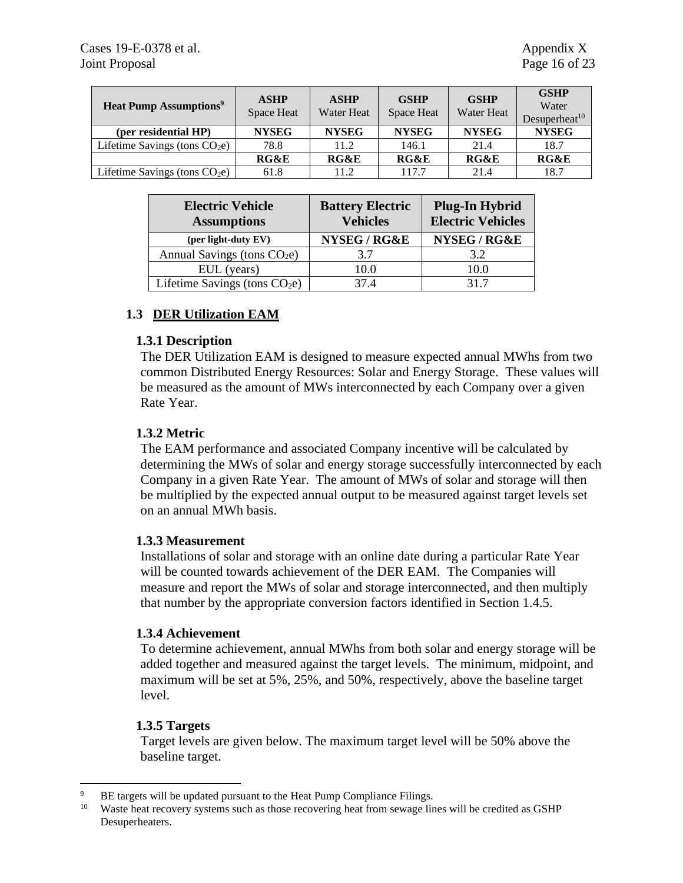| <b>Heat Pump Assumptions<sup>9</sup></b> | <b>ASHP</b><br>Space Heat | <b>ASHP</b><br>Water Heat | <b>GSHP</b><br>Space Heat | <b>GSHP</b><br><b>Water Heat</b> | <b>GSHP</b><br>Water<br>Desuperheat <sup>10</sup> |
|------------------------------------------|---------------------------|---------------------------|---------------------------|----------------------------------|---------------------------------------------------|
| (per residential HP)                     | <b>NYSEG</b>              | <b>NYSEG</b>              | <b>NYSEG</b>              | <b>NYSEG</b>                     | <b>NYSEG</b>                                      |
| Lifetime Savings (tons $CO2e$ )          | 78.8                      | 11.2                      | 146.1                     | 21.4                             | 18.7                                              |
|                                          | RG&E                      | RG&E                      | RG&E                      | RG&E                             | RG&E                                              |
| Lifetime Savings (tons $CO2e$ )          | 61.8                      | 11.2                      | 117.7                     | 21.4                             | 18.7                                              |

| <b>Electric Vehicle</b><br><b>Assumptions</b> | <b>Battery Electric</b><br><b>Vehicles</b> | <b>Plug-In Hybrid</b><br><b>Electric Vehicles</b> |
|-----------------------------------------------|--------------------------------------------|---------------------------------------------------|
| (per light-duty EV)                           | NYSEG / RG&E                               | NYSEG / RG&E                                      |
| Annual Savings (tons $CO2e$ )                 | 3.7                                        | 3.2                                               |
| EUL (years)                                   | 10.0                                       | 10.0                                              |
| Lifetime Savings (tons $CO2e$ )               | 37.4                                       | 317                                               |

# **1.3 DER Utilization EAM**

### **1.3.1 Description**

The DER Utilization EAM is designed to measure expected annual MWhs from two common Distributed Energy Resources: Solar and Energy Storage. These values will be measured as the amount of MWs interconnected by each Company over a given Rate Year.

### **1.3.2 Metric**

The EAM performance and associated Company incentive will be calculated by determining the MWs of solar and energy storage successfully interconnected by each Company in a given Rate Year. The amount of MWs of solar and storage will then be multiplied by the expected annual output to be measured against target levels set on an annual MWh basis.

#### **1.3.3 Measurement**

Installations of solar and storage with an online date during a particular Rate Year will be counted towards achievement of the DER EAM. The Companies will measure and report the MWs of solar and storage interconnected, and then multiply that number by the appropriate conversion factors identified in Section 1.4.5.

#### **1.3.4 Achievement**

To determine achievement, annual MWhs from both solar and energy storage will be added together and measured against the target levels. The minimum, midpoint, and maximum will be set at 5%, 25%, and 50%, respectively, above the baseline target level.

#### **1.3.5 Targets**

Target levels are given below. The maximum target level will be 50% above the baseline target.

<sup>&</sup>lt;sup>9</sup> BE targets will be updated pursuant to the Heat Pump Compliance Filings.<br><sup>10</sup> Wests best recovery systems such as those recovering best from several lines.

Waste heat recovery systems such as those recovering heat from sewage lines will be credited as GSHP Desuperheaters.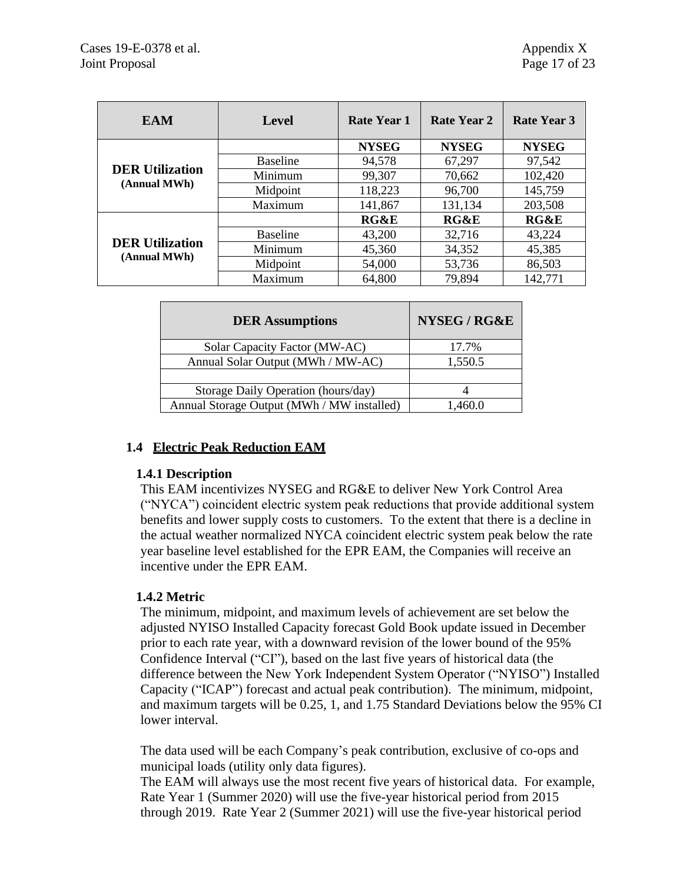| <b>EAM</b>                             | <b>Level</b>    | Rate Year 1     | Rate Year 2  | Rate Year 3     |
|----------------------------------------|-----------------|-----------------|--------------|-----------------|
|                                        |                 | <b>NYSEG</b>    | <b>NYSEG</b> | <b>NYSEG</b>    |
|                                        | <b>Baseline</b> | 94,578          | 67,297       | 97,542          |
| <b>DER Utilization</b><br>(Annual MWh) | Minimum         | 99,307          | 70,662       | 102,420         |
|                                        | Midpoint        | 118,223         | 96,700       | 145,759         |
|                                        | Maximum         | 141,867         | 131,134      | 203,508         |
|                                        |                 | <b>RG&amp;E</b> | RG&E         | <b>RG&amp;E</b> |
| <b>DER Utilization</b><br>(Annual MWh) | <b>Baseline</b> | 43,200          | 32,716       | 43,224          |
|                                        | Minimum         | 45,360          | 34,352       | 45,385          |
|                                        | Midpoint        | 54,000          | 53,736       | 86,503          |
|                                        | Maximum         | 64,800          | 79,894       | 142,771         |

| <b>DER</b> Assumptions                     | NYSEG / RG&E |
|--------------------------------------------|--------------|
| Solar Capacity Factor (MW-AC)              | 17.7%        |
| Annual Solar Output (MWh / MW-AC)          | 1,550.5      |
|                                            |              |
| Storage Daily Operation (hours/day)        |              |
| Annual Storage Output (MWh / MW installed) | 1,460.0      |

# **1.4 Electric Peak Reduction EAM**

#### **1.4.1 Description**

This EAM incentivizes NYSEG and RG&E to deliver New York Control Area ("NYCA") coincident electric system peak reductions that provide additional system benefits and lower supply costs to customers. To the extent that there is a decline in the actual weather normalized NYCA coincident electric system peak below the rate year baseline level established for the EPR EAM, the Companies will receive an incentive under the EPR EAM.

# **1.4.2 Metric**

The minimum, midpoint, and maximum levels of achievement are set below the adjusted NYISO Installed Capacity forecast Gold Book update issued in December prior to each rate year, with a downward revision of the lower bound of the 95% Confidence Interval ("CI"), based on the last five years of historical data (the difference between the New York Independent System Operator ("NYISO") Installed Capacity ("ICAP") forecast and actual peak contribution). The minimum, midpoint, and maximum targets will be 0.25, 1, and 1.75 Standard Deviations below the 95% CI lower interval.

The data used will be each Company's peak contribution, exclusive of co-ops and municipal loads (utility only data figures).

The EAM will always use the most recent five years of historical data. For example, Rate Year 1 (Summer 2020) will use the five-year historical period from 2015 through 2019. Rate Year 2 (Summer 2021) will use the five-year historical period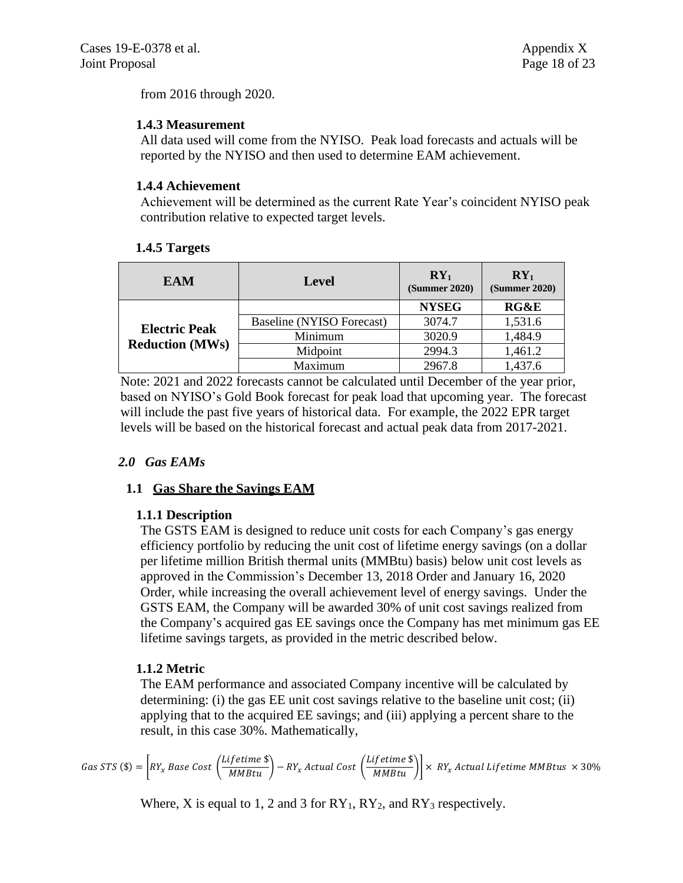from 2016 through 2020.

# **1.4.3 Measurement**

All data used will come from the NYISO. Peak load forecasts and actuals will be reported by the NYISO and then used to determine EAM achievement.

# **1.4.4 Achievement**

Achievement will be determined as the current Rate Year's coincident NYISO peak contribution relative to expected target levels.

# **1.4.5 Targets**

| EAM                                            | <b>Level</b>              | $RY_1$<br>(Summer 2020) | $RY_1$<br>(Summer 2020) |
|------------------------------------------------|---------------------------|-------------------------|-------------------------|
| <b>Electric Peak</b><br><b>Reduction (MWs)</b> |                           | <b>NYSEG</b>            | <b>RG&amp;E</b>         |
|                                                | Baseline (NYISO Forecast) | 3074.7                  | 1,531.6                 |
|                                                | Minimum                   | 3020.9                  | 1,484.9                 |
|                                                | Midpoint                  | 2994.3                  | 1,461.2                 |
|                                                | Maximum                   | 2967.8                  | 1,437.6                 |

Note: 2021 and 2022 forecasts cannot be calculated until December of the year prior, based on NYISO's Gold Book forecast for peak load that upcoming year. The forecast will include the past five years of historical data. For example, the 2022 EPR target levels will be based on the historical forecast and actual peak data from 2017-2021.

# *2.0 Gas EAMs*

# **1.1 Gas Share the Savings EAM**

# **1.1.1 Description**

The GSTS EAM is designed to reduce unit costs for each Company's gas energy efficiency portfolio by reducing the unit cost of lifetime energy savings (on a dollar per lifetime million British thermal units (MMBtu) basis) below unit cost levels as approved in the Commission's December 13, 2018 Order and January 16, 2020 Order, while increasing the overall achievement level of energy savings. Under the GSTS EAM, the Company will be awarded 30% of unit cost savings realized from the Company's acquired gas EE savings once the Company has met minimum gas EE lifetime savings targets, as provided in the metric described below.

# **1.1.2 Metric**

The EAM performance and associated Company incentive will be calculated by determining: (i) the gas EE unit cost savings relative to the baseline unit cost; (ii) applying that to the acquired EE savings; and (iii) applying a percent share to the result, in this case 30%. Mathematically,

$$
Gas STS ($)= \left[ RY_x Base Cost \left( \frac{Lifetime $}{MMBtu} \right) - RY_x Actual Cost \left( \frac{Lifetime $}{MMBtu} \right) \right] \times RY_x Actual Lifetime MMBtus \times 30\%
$$

Where, X is equal to 1, 2 and 3 for  $RY_1$ ,  $RY_2$ , and  $RY_3$  respectively.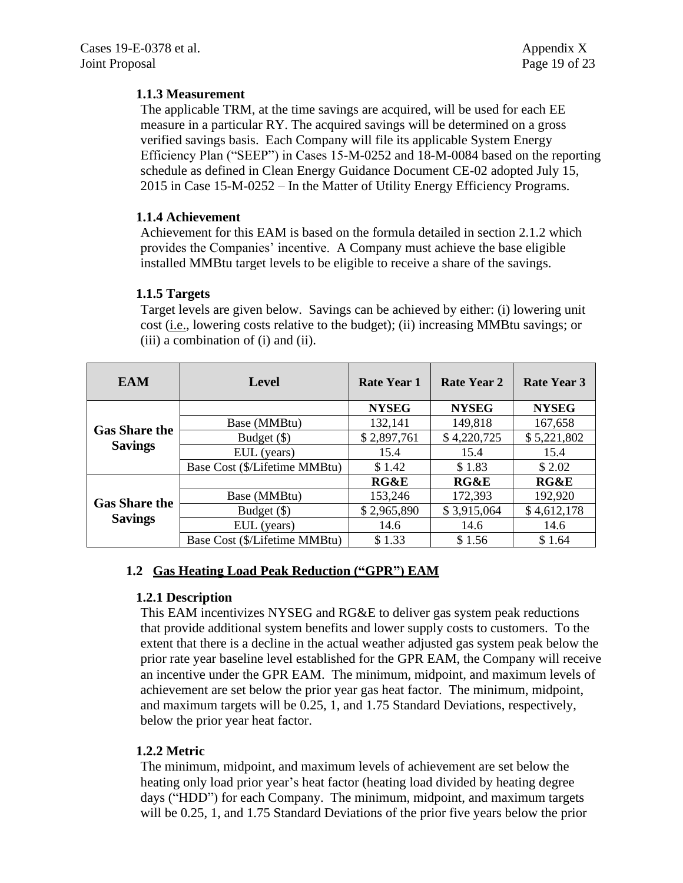# **1.1.3 Measurement**

The applicable TRM, at the time savings are acquired, will be used for each EE measure in a particular RY. The acquired savings will be determined on a gross verified savings basis. Each Company will file its applicable System Energy Efficiency Plan ("SEEP") in Cases 15-M-0252 and 18-M-0084 based on the reporting schedule as defined in Clean Energy Guidance Document CE-02 adopted July 15, 2015 in Case 15-M-0252 – In the Matter of Utility Energy Efficiency Programs.

# **1.1.4 Achievement**

Achievement for this EAM is based on the formula detailed in section 2.1.2 which provides the Companies' incentive. A Company must achieve the base eligible installed MMBtu target levels to be eligible to receive a share of the savings.

### **1.1.5 Targets**

Target levels are given below. Savings can be achieved by either: (i) lowering unit cost (i.e., lowering costs relative to the budget); (ii) increasing MMBtu savings; or (iii) a combination of (i) and (ii).

| <b>EAM</b>                             | <b>Level</b>                  | <b>Rate Year 1</b> | Rate Year 2  | Rate Year 3     |
|----------------------------------------|-------------------------------|--------------------|--------------|-----------------|
| <b>Gas Share the</b><br><b>Savings</b> |                               | <b>NYSEG</b>       | <b>NYSEG</b> | <b>NYSEG</b>    |
|                                        | Base (MMBtu)                  | 132,141            | 149,818      | 167,658         |
|                                        | Budget (\$)                   | \$2,897,761        | \$4,220,725  | \$5,221,802     |
|                                        | EUL (years)                   | 15.4               | 15.4         | 15.4            |
|                                        | Base Cost (\$/Lifetime MMBtu) | \$1.42             | \$1.83       | \$2.02          |
| <b>Gas Share the</b><br><b>Savings</b> |                               | <b>RG&amp;E</b>    | RG&E         | <b>RG&amp;E</b> |
|                                        | Base (MMBtu)                  | 153,246            | 172,393      | 192,920         |
|                                        | Budget (\$)                   | \$2,965,890        | \$3,915,064  | \$4,612,178     |
|                                        | EUL (years)                   | 14.6               | 14.6         | 14.6            |
|                                        | Base Cost (\$/Lifetime MMBtu) | \$1.33             | \$1.56       | \$1.64          |

# **1.2 Gas Heating Load Peak Reduction ("GPR") EAM**

# **1.2.1 Description**

This EAM incentivizes NYSEG and RG&E to deliver gas system peak reductions that provide additional system benefits and lower supply costs to customers. To the extent that there is a decline in the actual weather adjusted gas system peak below the prior rate year baseline level established for the GPR EAM, the Company will receive an incentive under the GPR EAM. The minimum, midpoint, and maximum levels of achievement are set below the prior year gas heat factor. The minimum, midpoint, and maximum targets will be 0.25, 1, and 1.75 Standard Deviations, respectively, below the prior year heat factor.

# **1.2.2 Metric**

The minimum, midpoint, and maximum levels of achievement are set below the heating only load prior year's heat factor (heating load divided by heating degree days ("HDD") for each Company. The minimum, midpoint, and maximum targets will be 0.25, 1, and 1.75 Standard Deviations of the prior five years below the prior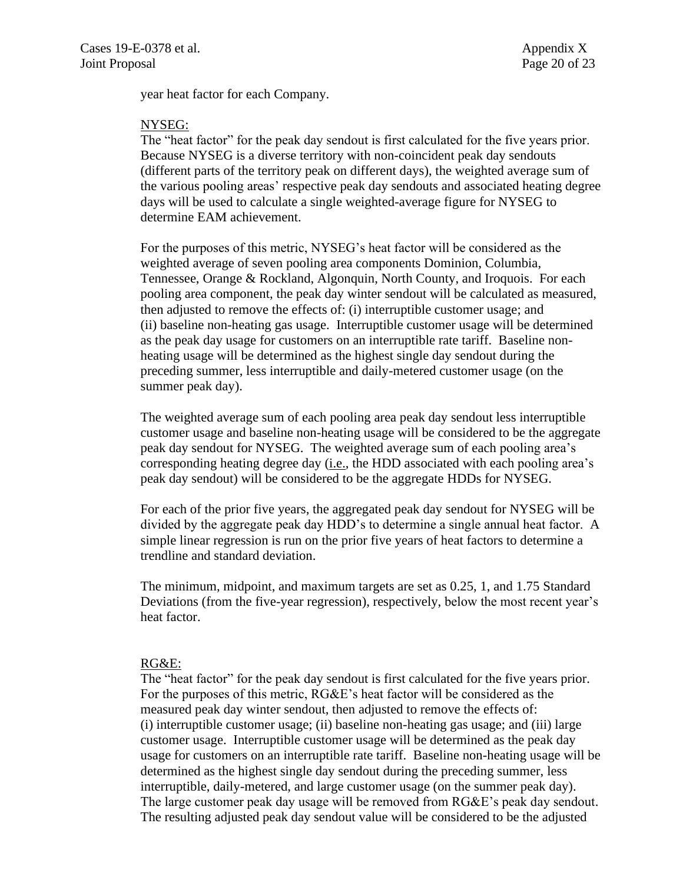year heat factor for each Company.

#### NYSEG:

The "heat factor" for the peak day sendout is first calculated for the five years prior. Because NYSEG is a diverse territory with non-coincident peak day sendouts (different parts of the territory peak on different days), the weighted average sum of the various pooling areas' respective peak day sendouts and associated heating degree days will be used to calculate a single weighted-average figure for NYSEG to determine EAM achievement.

For the purposes of this metric, NYSEG's heat factor will be considered as the weighted average of seven pooling area components Dominion, Columbia, Tennessee, Orange & Rockland, Algonquin, North County, and Iroquois. For each pooling area component, the peak day winter sendout will be calculated as measured, then adjusted to remove the effects of: (i) interruptible customer usage; and (ii) baseline non-heating gas usage. Interruptible customer usage will be determined as the peak day usage for customers on an interruptible rate tariff. Baseline nonheating usage will be determined as the highest single day sendout during the preceding summer, less interruptible and daily-metered customer usage (on the summer peak day).

The weighted average sum of each pooling area peak day sendout less interruptible customer usage and baseline non-heating usage will be considered to be the aggregate peak day sendout for NYSEG. The weighted average sum of each pooling area's corresponding heating degree day (i.e., the HDD associated with each pooling area's peak day sendout) will be considered to be the aggregate HDDs for NYSEG.

For each of the prior five years, the aggregated peak day sendout for NYSEG will be divided by the aggregate peak day HDD's to determine a single annual heat factor. A simple linear regression is run on the prior five years of heat factors to determine a trendline and standard deviation.

The minimum, midpoint, and maximum targets are set as 0.25, 1, and 1.75 Standard Deviations (from the five-year regression), respectively, below the most recent year's heat factor.

#### RG&E:

The "heat factor" for the peak day sendout is first calculated for the five years prior. For the purposes of this metric, RG&E's heat factor will be considered as the measured peak day winter sendout, then adjusted to remove the effects of: (i) interruptible customer usage; (ii) baseline non-heating gas usage; and (iii) large customer usage. Interruptible customer usage will be determined as the peak day usage for customers on an interruptible rate tariff. Baseline non-heating usage will be determined as the highest single day sendout during the preceding summer, less interruptible, daily-metered, and large customer usage (on the summer peak day). The large customer peak day usage will be removed from RG&E's peak day sendout. The resulting adjusted peak day sendout value will be considered to be the adjusted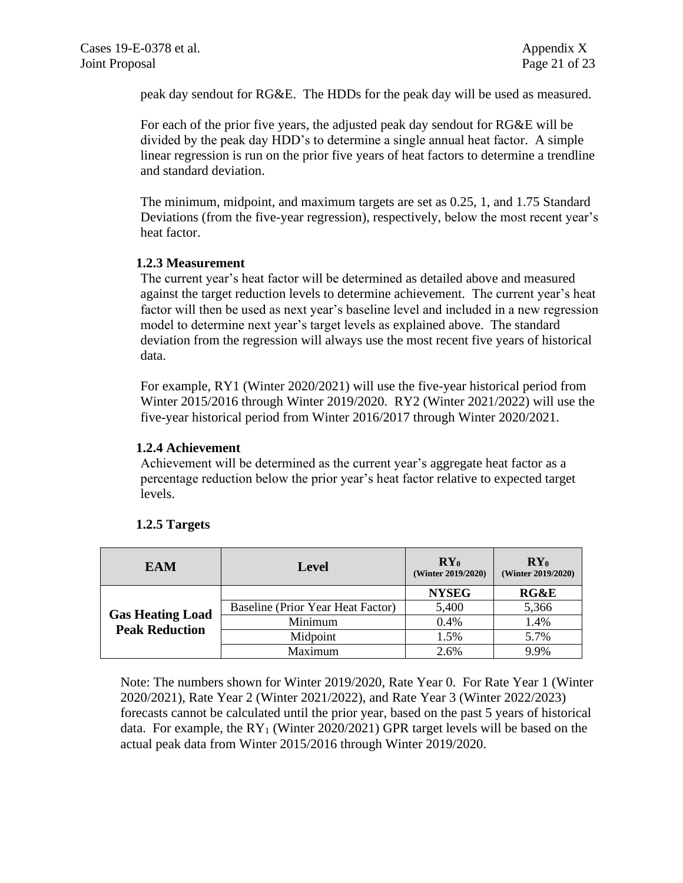peak day sendout for RG&E. The HDDs for the peak day will be used as measured.

For each of the prior five years, the adjusted peak day sendout for RG&E will be divided by the peak day HDD's to determine a single annual heat factor. A simple linear regression is run on the prior five years of heat factors to determine a trendline and standard deviation.

The minimum, midpoint, and maximum targets are set as 0.25, 1, and 1.75 Standard Deviations (from the five-year regression), respectively, below the most recent year's heat factor.

#### **1.2.3 Measurement**

The current year's heat factor will be determined as detailed above and measured against the target reduction levels to determine achievement. The current year's heat factor will then be used as next year's baseline level and included in a new regression model to determine next year's target levels as explained above. The standard deviation from the regression will always use the most recent five years of historical data.

For example, RY1 (Winter 2020/2021) will use the five-year historical period from Winter 2015/2016 through Winter 2019/2020. RY2 (Winter 2021/2022) will use the five-year historical period from Winter 2016/2017 through Winter 2020/2021.

#### **1.2.4 Achievement**

Achievement will be determined as the current year's aggregate heat factor as a percentage reduction below the prior year's heat factor relative to expected target levels.

| <b>EAM</b>                                       | Level                             | $RY_0$<br>(Winter 2019/2020) | $\mathbf{RY}_{0}$<br>(Winter 2019/2020) |
|--------------------------------------------------|-----------------------------------|------------------------------|-----------------------------------------|
|                                                  |                                   | <b>NYSEG</b>                 | RG&E                                    |
|                                                  | Baseline (Prior Year Heat Factor) | 5,400                        | 5,366                                   |
| <b>Gas Heating Load</b><br><b>Peak Reduction</b> | Minimum                           | 0.4%                         | 1.4%                                    |
|                                                  | Midpoint                          | 1.5%                         | 5.7%                                    |
|                                                  | Maximum                           | 2.6%                         | 9.9%                                    |

#### **1.2.5 Targets**

Note: The numbers shown for Winter 2019/2020, Rate Year 0. For Rate Year 1 (Winter 2020/2021), Rate Year 2 (Winter 2021/2022), and Rate Year 3 (Winter 2022/2023) forecasts cannot be calculated until the prior year, based on the past 5 years of historical data. For example, the  $RY_1$  (Winter 2020/2021) GPR target levels will be based on the actual peak data from Winter 2015/2016 through Winter 2019/2020.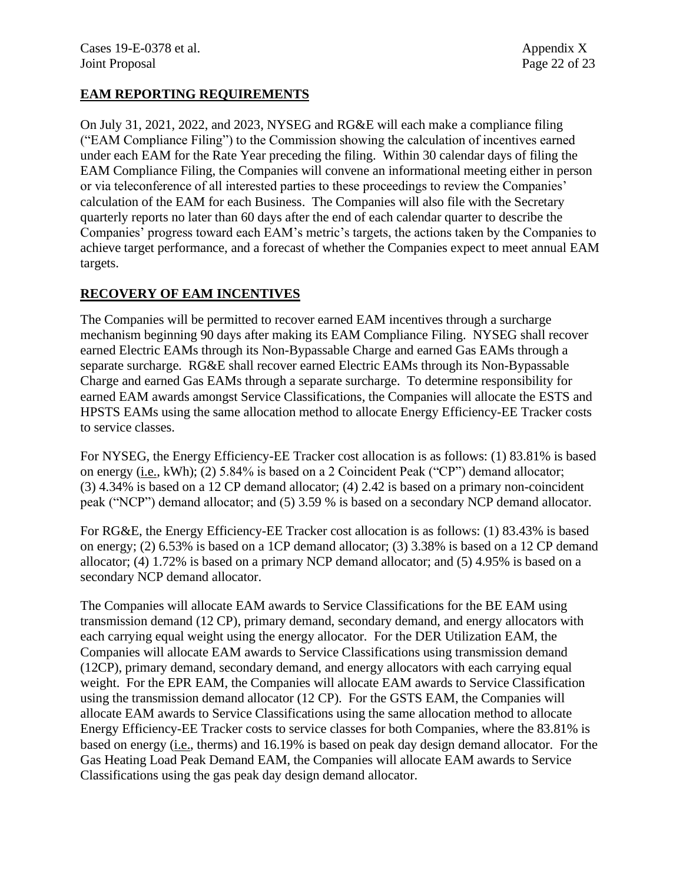### **EAM REPORTING REQUIREMENTS**

On July 31, 2021, 2022, and 2023, NYSEG and RG&E will each make a compliance filing ("EAM Compliance Filing") to the Commission showing the calculation of incentives earned under each EAM for the Rate Year preceding the filing. Within 30 calendar days of filing the EAM Compliance Filing, the Companies will convene an informational meeting either in person or via teleconference of all interested parties to these proceedings to review the Companies' calculation of the EAM for each Business. The Companies will also file with the Secretary quarterly reports no later than 60 days after the end of each calendar quarter to describe the Companies' progress toward each EAM's metric's targets, the actions taken by the Companies to achieve target performance, and a forecast of whether the Companies expect to meet annual EAM targets.

#### **RECOVERY OF EAM INCENTIVES**

The Companies will be permitted to recover earned EAM incentives through a surcharge mechanism beginning 90 days after making its EAM Compliance Filing. NYSEG shall recover earned Electric EAMs through its Non-Bypassable Charge and earned Gas EAMs through a separate surcharge. RG&E shall recover earned Electric EAMs through its Non-Bypassable Charge and earned Gas EAMs through a separate surcharge. To determine responsibility for earned EAM awards amongst Service Classifications, the Companies will allocate the ESTS and HPSTS EAMs using the same allocation method to allocate Energy Efficiency-EE Tracker costs to service classes.

For NYSEG, the Energy Efficiency-EE Tracker cost allocation is as follows: (1) 83.81% is based on energy (i.e., kWh); (2) 5.84% is based on a 2 Coincident Peak ("CP") demand allocator; (3) 4.34% is based on a 12 CP demand allocator; (4) 2.42 is based on a primary non-coincident peak ("NCP") demand allocator; and (5) 3.59 % is based on a secondary NCP demand allocator.

For RG&E, the Energy Efficiency-EE Tracker cost allocation is as follows: (1) 83.43% is based on energy; (2) 6.53% is based on a 1CP demand allocator; (3) 3.38% is based on a 12 CP demand allocator; (4) 1.72% is based on a primary NCP demand allocator; and (5) 4.95% is based on a secondary NCP demand allocator.

The Companies will allocate EAM awards to Service Classifications for the BE EAM using transmission demand (12 CP), primary demand, secondary demand, and energy allocators with each carrying equal weight using the energy allocator. For the DER Utilization EAM, the Companies will allocate EAM awards to Service Classifications using transmission demand (12CP), primary demand, secondary demand, and energy allocators with each carrying equal weight. For the EPR EAM, the Companies will allocate EAM awards to Service Classification using the transmission demand allocator (12 CP). For the GSTS EAM, the Companies will allocate EAM awards to Service Classifications using the same allocation method to allocate Energy Efficiency-EE Tracker costs to service classes for both Companies, where the 83.81% is based on energy (i.e., therms) and 16.19% is based on peak day design demand allocator. For the Gas Heating Load Peak Demand EAM, the Companies will allocate EAM awards to Service Classifications using the gas peak day design demand allocator.